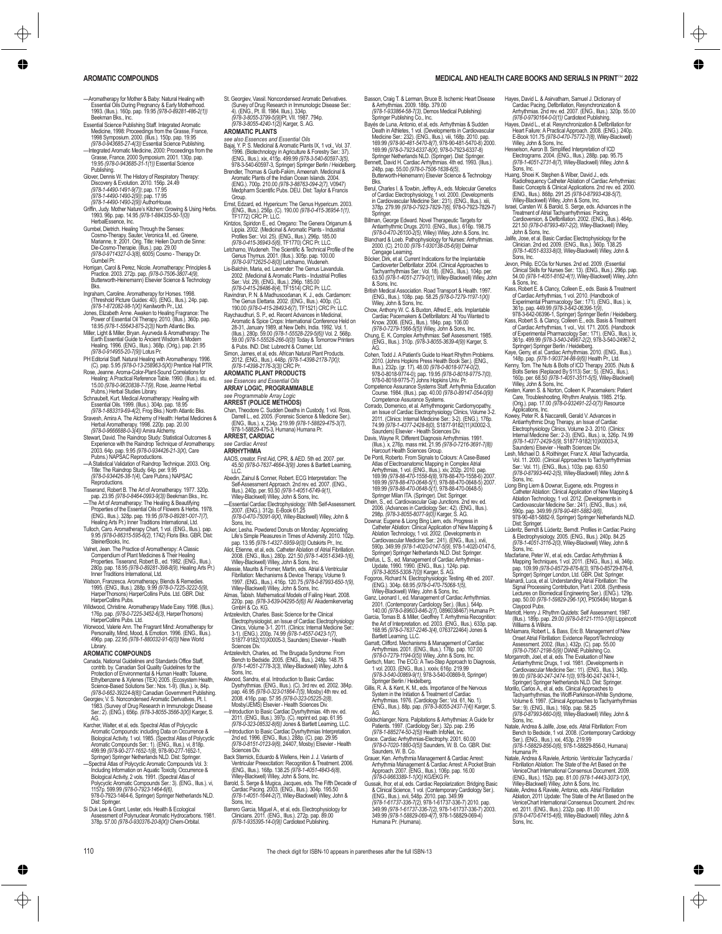# **AROMATIC COMPOUNDS MEDICAL AND HEALTH CARE BOOKS AND SERIALS IN PRINT- 2022**

- —Aromatherapy for Mother & Baby: Natural Healing with Essential Oils During Pregnancy & Early Motherhood. 1993. (Illus.). 160p. pap. 19.95 *(978-0-89281-486-2(1))* Beekman Bks., Inc.
- Essential Science Publishing Staff. Integrated Aromatic Medicine, 1998: Proceedings from the Grasse, France, 1998 Symposium. 2000. (Illus.). 150p. pap. 19.95 *(978-0-943685-27-4(3))* Essential Science Publishing.
- —Integrated Aromatic Medicine, 2000: Proceedings from the<br>Grasse, France, 2000 Symposium. 2001. 130p. pap.<br>19.95 *(978-0-943685-31-1(1))* Essential Science<br>Publishing.
- Glover, Dennis W. The History of Respiratory Therapy: Discovery & Evolution. 2010. 156p. 24.49 *(978-1-4490-1491-9(7))*; pap. 17.95 *(978-1-4490-1490-2(9))*; pap. 17.95 *(978-1-4490-1490-2(9))* AuthorHouse.
- Griffin, Judy. Mother Nature's Kitchen: Growing & Using Herbs. nin, Judy. Moher Nature S Ritchen. Growing & 1993. 96p. pap. 14.95 *(978-1-884335-50-1(0))*<br>HerbalEssence, Inc.
- HerbalEssence, Inc.<br>Gumbel, Dietrich. Healing Through the Senses:<br>Cosmo-Therapy, Sauter, Veronica M., ed. Greene,<br>Marianne, tr. 2001. Orig. Tillie: Heilen Durch die Sinne:<br>Die-Cosmo-Therapie. (Illus.). pap. 29.00<br>(978-0-97 Gumbel Pr.
- Horrigan, Carol & Perez, Nicole. Aromatherapy: Principles & Practice. 2003. 272p. pap. *(978-0-7506-3807-4(9)*, Butterworth-Heinemann) Elsevier Science & Technology Bks.
- Ingraham, Caroline. Aromatherapy for Horses. 1998. (Threshold Picture Guides: 40). (ENG., Illus.). 24p. pap. *(978-1-872082-98-1(X))* Kenilworth Pr., Ltd.
- Jones, Elizabeth Anne. Awaken to Healing Fragrance: The Power of Essential Oil Therapy. 2010. (Illus.). 360p. pap. 18.95 *(978-1-55643-875-2(3))* North Atlantic Bks.
- Miller, Light & Miller, Bryan. Ayurveda & Aromatherapy: The Earth Essential Guide to Ancient Wisdom & Modern Healing. 1996. (ENG., Illus.). 368p. (Orig.). pap. 21.95
- *(978-0-914955-20-7(9))* Lotus Pr. PH Editorial Staff. Natural Healing with Aromatherapy. 1996. (C). pap. 5.95 *(978-0-13-258963-5(X))* Prentice Hall PTR. Rose, Jeanne. Aroma-Color-Plant-Sound Correlations for
- Healing: A Practical Reference Table. 1990. (Illus.). stu. ed. 15.00 *(978-0-9620838-7-7(9)*, Rose, Jeanne Herbal Pubns.) Herbal Studies Library. Schnaubelt, Kurt. Medical Aromatherapy: Healing with
- 
- Essential Olis. 1999. (Illus.). 304p. pap. 18.95<br>G78-1-883319-69-4(2), Frog Bks.) North Atlantic Bks.<br>Sravesh, Amira A. The Alchemy of Health: Herbal Medicines &<br>Herbal Aromatherapy. 1998. 220p. pap. 20.00<br>(P78-0-9666688-0
- Stewart, David. The Raindrop Study: Statistical Outcomes &<br>Experience with the Raindrop Technique of Aromatherapy.<br>2003. 64p. pap. 9.95 *(978-0-934426-21-3(X)*, Care<br>Pubns.) NAPSAC Reproductions.
- —A Statistical Validation of Raindrop Technique. 2003. Orig. Title: The Raindrop Study. 64p. per. 9.95 *(978-0-934426-38-1(4)*, Care Pubns.) NAPSAC Reproductions.
- Tisserand, Robert B. The Art of Aromatherapy. 1977. 320p.
- pap. 23.95 *(978-0-8464-0993-9(3))* Beekman Bks., Inc. —The Art of Aromatherapy: The Healing & Beautifying Properties of the Essential Oils of Flowers & Herbs. 1978.
- (ENG., Illus.). 328p. pap. 19.95 (978-0-89281-001-7(7),<br>Healing Arts Pr.) Inner Traditions International, Ltd.<br>Tulloch, Caro. Aromatherapy Chart, 1 vol. (ENG., Illus.). pap.<br>9.95 (978-0-86315-595-6(2), 1742) Floris Bks. GB SteinerBooks, Inc.
- Valnet, Jean. The Practice of Aromatherapy: A Claasic<br>Compendium of Plant Medicines & Their Healing<br>Properties. Tisserand, Robert B., ed. 1982. (ENG., Illus.).<br>280p. pap. 18.95 (978-059281-398-8(9), Healing Arts Pr.)<br>Inner
- Watson, Franzesca. Aromatherapy, Blends & Remedies.<br>1995. (ENG., Illus.). 288p. 9.99 (978-0-7225-3222-5(9), 1995. (ENG., Illus.). 288p. 9.99 (978-0-7225-3222-5(9),<br>HarperThorsons) HarperCollins Pubs. Ltd. GBR. Dist:<br>HarperCollins Pubs.
- Wildwood, Christine. Aromatherapy Made Easy. 1998. (Illus.).<br>176p. pap. *(978-0-7225-3452-6(3*), HarperThorsons)<br>HarperCollins Pubs. Ltd.<br>Worwood, Valerie Ann. The Fragrant Mind: Aromatherapy for
- Personality, Mind, Mood, & Emotion. 1996. (ENG., Illus.). 496p. pap. 22.95 *(978-1-880032-91-6(0))* New World Library.

### **AROMATIC COMPOUNDS**

- Canada, National Guidelines and Standards Office Staff, contrib. by. Canadian Soil Quality Guidelines for the Protection of Environmental & Human Health: Toluene, Ethylbenzene & Xylenes (TEX) 2005. (Ecosystem Health, Science-Based Solutions Ser.: Nos. 1-9). (Illus.). ix, 84p.<br>*(978-0-662-39224-8(8))* Canadian Government Publishing.<br>Georgiev, V. S. Noncondensed Aromatic Derivatives, Pt. I.
- 1983. (Survey of Drug Research in Immunologic Disease<br>Ser.: 2). (ENG.). 656p. *(978-3-8055-3566-3(X)) Kar*ger, S.<br>AG.
- Karcher, Walter, et al, eds. Spectral Atlas of Polycyclic<br>Aromatic Compounds: including Data on Occurrence &<br>Biological Activity, 1 vol. 1985. (Spectral Atlas of Polycyclic<br>Aromatic Compounds Ser.: 1). (ENG., Illus.). vi, 499.99 *(978-90-277-1652-1(8)*, 978-90-277-1652-1, Springer) Springer Netherlands NLD. Dist: Springer.
- Spectral Atlas of Polycyclic Aromatic Compounds Vol. 3:<br>Including Information on Aquatic Toxicity, Occurrence &<br>Biological Activity, 2 vols. 1991. (Spectral Atlas of<br>Polycylic Aromatic Compounds Ser.: 3). (ENG., Illus.). v 978-0-7923-1464-6, Springer) Springer Netherlands NLD. Dist: Springer.
- Si Duk Lee & Grant, Lester, eds. Health & Ecological Assessment of Polynuclear Aromatic Hydrocarbons. 1981. 378p. 57.00 *(978-0-930376-20-8(X))* Chem-Orbital.
- 
- St. Georgiev, Vassil. Noncondensed Aromatic Derivatives.<br>(Survey of Drug Research in Immunologic Disease Ser.:<br>4). (ENG., Pt. III. 1984. Illus.). 334p.
- *(978-3-8055-3799-5(9))*Pt. VII. 1987. 794p. *(978-3-8055-4240-1(2))* Karger, S. AG. **AROMATIC PLANTS**<br>see also Essences and Essential Oils
- 
- *see also Essences and Essential Oils* Bajaj, Y. P. S. Medicinal & Aromatic Plants IX, 1 vol., Vol. 37. 1996. (Biotechnology in Agriculture & Forestry Ser.: 37). (ENG., Illus.). xix, 415p. 499.99 (978-3-540-60597-3(5),<br>978-3-540-60597-3, Springer) Springer Berlin / Heidelberg.<br>Brendler, Thomas & Gurib-Fakim, Ameenah. Medicinal &<br>Aromatic Plants of the Indian Ocean Islands. 2004.
- (ENG.). 700p. 210.00 *(978-3-88763-094-2(7)*, V0947) Medpharm Scientific Pubs. DEU. Dist: Taylor & Francis Group.<br>
Group.<br>
Frnst Edzard ed Hynericum: The Genus Hynericum 2003.
- Ernst, Edzard, ed. Hypericum: The Genus Hypericum. 2003. (ENG., Illus.). 256p. (C). 190.00 *(978-0-415-36954-1(1)*, TF1772) CRC Pr. LLC.
- Kintzios, Spiridon E., ed. Oregano: The Genera Origanum & Lippia. 2002. (Medicinal & Aromatic Plants Industrial Profiles Ser.: Vol. 25). (ENG., Illus.). 296p. 185.00 *(978-0-415-36943-5(6)*, TF1770) CRC Pr. LLC. Letchamo, Wudeneh. The Scientific & Technical Profile of the
- Genus Thymus. 2001. (Illus.). 305p. pap. 100.00<br>(978-0-9712625-0-8(0). Letchamo, Wudeneh.<br>Lis-Balchin, Maria, ed. Lavender: The Genus Lavandula.<br>2002. (Medicinal & Aromatic Plants Industrial Profiles<br>Ser.: Vol. 29). (ENG
- 
- *(978-0-415-28486-8(4)*, TF1514) CRC Pr. LLC. Ravindran, P. N. & Madhusoodanan, K. J., eds. Cardamom: The Genus Elettaria. 2002. (ENG., Illus.). 400p. (C). 190.00 *(978-0-415-28493-6(7)*, TF1521) CRC Pr. LLC. Raychaudhuri, S. P., ed. Recent Advances in Medicinal,
- Aromatic & Spice Crops: International Conference Held on 28-31, January 1989, at New Delhi, India. 1992. Vol. 1. (Illus.). 280p. 59.00 *(978-1-55528-229-5(6))* Vol. 2. 568p. 59.00 (978-1-55528-266-000) Today & Tomorrow Printers<br>& Pubs. IND. Dist: Lubrecht & Cramer, Ltd.<br>Simon, James, et al., eds. African Natural Plant Products.<br>2012. (ENG., Illus.). 448p. (978-1-4398-2176-200);<br>202. (1978-1-43
- **AROMATIC PLANT PRODUCTS**

#### *see Essences and Essential Oils*

**ARRAY LOGIC, PROGRAMMABLE**

# *see Programmable Array Logic* **ARREST (POLICE METHODS)**

Chan, Theodore C. Sudden Deaths in Custody, 1 vol. Ross,<br>Darrell L., ed. 2005. (Forensic Science & Medicine Ser.).<br>(ENG., Illus.). x, 234p. 219.99 *(978-1-58829-475-3(7),*<br>978-1-58829-475-3, Humana) Humana Pr.

### **ARREST, CARDIAC**

#### *see Cardiac Arrest* **ARRHYTHMIA**

- AAOS, creator. First Aid, CPR, & AED. 5th ed. 2007. per. 45.50 *(978-0-7637-4664-3(9))* Jones & Bartlett Learning, LLC.
- Abedin, Zainul & Conner, Robert. ECG Interpretation: The Self-Assessment Approach. 2nd rev. ed. 2007. (ENG., Illus.). 240p. per. 93.50 *(978-1-4051-6749-9(1)*,
- Wiley-Blackwell) Wiley, John & Sons, Inc. —Essential Cardiac Electrophysiology: With Self-Assessment.
- 2007. (ENG.). 312p. E-Book 61.25 *(978-0-470-75091-9(X)*, Wiley-Blackwell) Wiley, John & Sons, Inc.
- Acker, Lesha. Powdered Donuts on Monday: Appreciating Life's Simple Pleasures in Times of Adversity. 2010. 102p. pap. 13.95 *(978-1-4327-5959-9(0))* Outskirts Pr., Inc.
- Aliot, Etienne, et al, eds. Catheter Ablation of Atrial Fibrillation. 2008. (ENG., Illus.). 280p. 221.50 *(978-1-4051-6349-1(6)*, Wiley-Blackwell) Wiley, John & Sons, Inc.
- Allessie, Maurits & Fromer, Martin, eds. Atrial & Ventricular Fibrillation: Mechanisms & Device Therapy, Volume 9. 1997. (ENG., Illus.). 416p. 120.75 *(978-0-87993-650-1(9)*, Wiley-Blackwell) Wiley, John & Sons, Inc. Almas, Tabish. Mathematical Models of Failing Heart. 2008.
- 220p. pap. *(978-3-639-04295-5(6))* AV Akademikerverlag GmbH & Co. KG.
- Antzelevitch, Charles. Basic Science for the Clinical Electrophysiologist, an Issue of Cardiac Electrophysiology<br>Clinics, Volume 3-1. 2011. (Clinics: Internal Medicine Ser.:<br>3-1). (ENG.). 200p. 74.99 (978-1-4557-0423-1(7).<br>S1877-9182(10)X0005-3, Saunders) Elsevier - Health Sciences Div.
- Antzelevitch, Charles, ed. The Brugada Syndrome: From Bench to Bedside. 2005. (ENG., Illus.). 248p. 148.75 *(978-1-4051-2778-3(3)*, Wiley-Blackwell) Wiley, John & Sons, Inc.
- Atwood, Sandra, et al. Introduction to Basic Cardia Dysrhythmias. (ENG., Illus.). (C). 3rd rev. ed. 2002. 384p.<br>pap. 46.95 *(978-0-323-01864-7(5),* Mosby) 4th rev. ed.<br>2008. 416p. pap. 57.95 *(978-0-323-05225-2(8)*,<br>Mosby/JEMS) Elsevier - Health Sciences Div.
- —Introduction to Basic Cardiac Dysrhythmias. 4th rev. ed. 2011. (ENG., Illus.). 397p. (C). reprint ed. pap. 61.95 (978-0-323-06532-8(6)) Jones & Bartlett Learning, LLC.<br>—Introduction to Basic Cardiac Dysrlythmias Interpretation<br>2nd ed. 1996. (ENG., Illus.). 288p. (C). pap. 29.95<br>(978-0-8151-0123-9(6), 24407, Mosby) Elsevier - Health
- Sciences Div.<br>Back Sternick, Eduardo & Wellens, Hein J. J. Variants of Back Sternick, Eduardo & Wellens, Hein J. J. Variants of Ventricular Preexcitation: Recognition & Treatment. 2006.
- (ENG., Illus.). 168p. 138.25 *(978-1-4051-4843-6(8)*, Wiley-Blackwell) Wiley, John & Sons, Inc.
- Barold, S. Serge & Mugica, Jacques, eds. The Fifth Decade of<br>Cardiac Pacing. 2003. (ENG., Illus.). 304p. 195.50<br>*(978-1-4051-1644-2(7)*, Wiley-Blackwell) Wiley, John & Sons, Inc.
- Barrero Garcia, Miguel A., et al, eds. Electrophysiology for Clinicians. 2011. (ENG., Illus.). 272p. pap. 89.00 *(978-1-935395-14-0(9))* Cardiotext Publishing.

110 The check digit for ISBN-10 appears in parentheses after the full ISBN-13

- Basson, Craig T. & Lerman, Bruce B. Ischemic Heart Disease<br>& Arrhythmias. 2009. 186p. 379.00<br>*(978-1-933864-58-7(3)*, Demos Medical Publishing)
- Springer Publishing Co., Inc. Bayés de Luna, Antonio, et al, eds. Arrhythmias & Sudden Death in Athletes, 1 vol. (Developments in Cardiovascular Medicine Ser.: 232). (ENG., Illus.). viii, 168p. 2010. pap. 169.99 *(978-90-481-5470-8(7)*, 978-90-481-5470-8) 2000. 169.99 *(978-0-7923-6337-8(X)*, 978-0-7923-6337-8)
- Springer Netherlands NLD. (Springer). Dist: Springer.<br>Bennett, David H. Cardiac Arrhythmias. 4th ed. 1993. (Illus.).<br>248p. pap. 55.00 *(978-0-7506-1638-6(5)*,<br>Butterworth-Heinemann) Elsevier Science & Technology
- Bks. Berul, Charles I. & Towbin, Jeffrey A., eds. Molecular Genetics of Cardiac Electrophysiology, 1 vol. 2000. (Developments in Cardiovascular Medicine Ser.: 231). (ENG., Illus.). xiii, 378p. 279.99 *(978-0-7923-7829-7(6)*, 978-0-7923-7829-7) Springer. Billman, George Edward. Novel Therapeutic Targets for
- Antiarrhythmic Drugs. 2010. (ENG., Illus.). 616p. 198.75 *(978-0-470-26100-2(5)*, Wiley) Wiley, John & Sons, Inc. Blanchard & Loeb. Pathophysiology for Nurses: Arrhythmias. 2000. (C). 210.00 *(978-1-930138-05-6(9))* Delmar
- Cengage Learning. Böcker, Dirk, et al. Current Indications for the Implantable Cardioverter Defibrillator. 2004. (Clinical Approaches to Tachyarrhythmias Ser.: Vol. 18). (ENG., Illus.). 104p. per. 63.50 *(978-1-4051-2779-0(1)*, Wiley-Blackwell) Wiley, John
- & Sons, Inc. British Medical Association. Road Transport & Health. 1997. (ENG., Illus.). 108p. pap. 58.25 *(978-0-7279-1197-1(X))* Wiley, John & Sons, Inc.
- Chow, Anthony W. C. & Buxton, Alfred E., eds. Implantable<br>Cardiac Pacemakers & Defibrillators: All You Wanted to<br>Know, 2006. (ENG., Illus.). 184p. pap. 106.00<br>(978-0-7279-1566-5(5)) Wiey, John & Sons, Inc.<br>Chung, E. K. Com
- 
- 
- 
- (ENG., Illus.), 310p. (978-3-8055-3639-4(9)) Karger, S.<br>
Cohen, Todd J. A Patient's Guide to Heart Rhythm Problems.<br>
7010. (Johns Hopkins Press Health Book Ser.), (ENG., Illus.), 232p. (gr. 17), 48.00 (978-0-8078-9774-402
- Davis, Wayne R. Different Diagnosis Arrhythmias. 1991. (Illus.). x, 276p. mass mkt. 21.95 *(978-0-7216-3691-7(8))* Harcourt Health Sciences Group.
- De Ponti, Roberto. From Signals to Colours: A Case-Based<br>Adas of Electroanatomic Mapping in Complex Attal<br>Andrylimias. 1 vol. (ENG., Illus.), xiv. 202p. 2010. pap.<br>169.99 (978-88-470-1685-6/8), 978-88-470-1658-6) 2007<br>169.
- 
- Downar, Eugene & Liong Bing Liem, eds. Progress in<br>Catheter Ablation: Clinical Application of New Mapping &<br>Ablation Technology, 1 vol. 2002. (Developments in<br>Cardiovascular Medicine Ser: 241). (ENG., Illus.). xvii,<br>590p.
- Springer) Springer Netherlands NLD. Dist: Springer.<br>Dreifus, L. S., ed. Maragement of Cardiac Arrhythmias<br>- Update, 1990. 1990. (ENG, Illus). 124p. pap.<br>(978-3-8055-5308-7(0)) Karger, S. AG.<br>Fogoros, Richard N. Electrophys
- 
- 
- Willey-Blackwell) Willey, John & Sons, Inc.<br>
Ganz, Leonard I., ed. Management of Cardiac Arrhythmias.<br>
2001. (Contemporary Cardiology Sec). (Illus.). 544p.<br>
1440.0 (978-0-89603-846-2/7), 0896034667) Humana Pr.<br>
Garcia, Tom
- Bartlett Learning, LLC. Garratt, Clifford. Mechanisms & Management of Cardiac Arrhythmias. 2001. (ENG., Illus.). 176p. pap. 107.00
- *(978-0-7279-1194-0(5))* Wiley, John & Sons, Inc. Gertsch, Marc. The ECG: A Two-Step Approach to Diagnosis, 1 vol. 2003. (ENG., Illus.). xxxiv, 616p. 219.99 *(978-3-540-00869-9(1)*, 978-3-540-00869-9, Springer) Springer Berlin / Heidelberg. Gillis, R. A. & Kent, K. M., eds. Importance of the Nervous
- System in the Initiation & Treatment of Cardiac Arrhythmias. 1976. (Cardiology Ser.: Vol. 61, No. 1). (ENG., Illus.). 88p. pap. *(978-3-8055-2437-7(4))* Karger, S.
- AG. Goldschlanger, Nora. Palpitations & Arrhythmias: A Guide for Patients. 1997. (Cardiology Ser.). 32p. pap. 2.95 *(978-1-885274-50-2(5))* Health InfoNet, Inc.
- Grace. Cardiac Arrhythmias-Electrophy. 2001. 60.00 *(978-0-7020-1880-0(5))* Saunders, W. B. Co. GBR. Dist: Saunders, W. B. Co.
- Grauer, Ken. Arrhythmia Management & Cardiac Arrest: Arrhythmia Management & Cardiac Arrest: A Pocket Brain Approach. 2007. (ENG., Illus.). 106p. pap. 16.00 *(978-0-9663389-1-1(X))* KG/EKG Pr.
- Gussak, Ihor, et al, eds. Cardiac Repolarization: Bridging Basic & Clinical Science, 1 vol. (Contemporary Cardiology Ser.). (ENG., Illus.). xvii, 548p. 2010. pap. 349.99 *(978-1-61737-336-7(2), 978-1-61737-336-7) 2*010. pap.<br>349.99 *(978-1-61737-336-7(2), 978-1-61737-336-7) 2003.*<br>349.99 *(978-1-58829-069-4(7), 978-1-58829-069-*4) Humana Pr. (Humana).
- Hayes, David L. & Asirvatham, Samuel J. Dictionary of Cardiac Pacing, Defibrillation, Resynchronization & Arrhythmias. 2nd rev. ed. 2007. (ENG., Illus.). 320p. 55.00
- *(978-0-9790164-0-0(1))* Cardiotext Publishing. Hayes, David L., et al. Resynchronization & Defibrillation for Heart Failure: A Practical Approach. 2008. (ENG.). 240p.<br>E-Book 101.75 (978-0-470-75772-7(8), Wiley-Blackwell)
- E-Book 101.16. 8/0/8-0-4/0-/5//2-/(8), Wiley-Blackwell<br>Wiley, John & Sons, Inc.<br>Hesselson, Aaron B. Simplified Interpretation of ICD<br>Electrograms. 2004. (ENG., Illus.). 288p. pap. 95.75<br>(978-1-4051-2731-8/7), Wiley-Blackwe
- Sons, Inc. Huang, Shoei K. Stephen & Wiber, David J., eds. Radiofrequency Catheter Ablation of Cardiac Arrhythmias: Basic Concepts & Clinical Applications. 2nd rev. ed. 2000<br>(ENG, Illus.). 868p. 291.26 (978-0-87993-438-5(7),<br>Wiley-Blackwell) Wiley, John & Sons, Inc.<br>Israel, Carsten W. & Barold, S. Serge, eds. Advances in the<br>Traatment o
- 221.50 *(978-0-87993-497-2(2)*, Wiley-Blackwell) Wiley,
- John & Sons, Inc. Jalife, Jose, et al. Basic Cardiac Electrophysiology for the Clinician. 2nd ed. 2009. (ENG., Illus.). 360p. 138.25 *(978-1-4051-8333-8(0)*, Wiley-Blackwell) Wiley, John &
- Sons, Inc. Jevon, Philip. ECGs for Nurses. 2nd ed. 2009. (Essential Clinical Skills for Nurses Ser.: 13). (ENG., Illus.). 296p. pap. 54.00 *(978-1-4051-8162-4(1)*, Wiley-Blackwell) Wiley, John
- & Sons, Inc. Kass, Robert E. & Clancy, Colleen E., eds. Basis & Treatment of Cardiac Arrhythmias, 1 vol. 2010. (Handbook of Experimental Pharmacology Ser: 171), (ENG, Illus, i.v.<br>
3978-3442-063967-842-06396-7(P), CNC, Illus, i.v.<br>
978-3442-06396-1, Springer) Springer Berlin / Heidelberg<br>
Kass, Robert S. & Clancy, Colleen E., eds. Basis & Treatm

Springer) Springer Berlin / Heidelberg.<br>Kaye, Gerry, et al. Cardiac Arrhythmias. 2010. (ENG., Illus.).<br>148p. pap. *(978-1-903734-88-9(6))* Health Pr., Ltd.<br>Kenny, Tom. The Nuts & Bolts of ICD Therapy. 2005. (Nuts & Bolts Series (Replaced By 5113) Ser.: 5). (ENG., Illus.). 160p. per. 68.50 *(978-1-4051-3511-5(5)*, Wiley-Blackwell) Wiley, John & Sons, Inc.<br>Kesten, Karen S. & Norton, Colleen K. Pacemakers: Patien<br>Care, Troubleshooting, Rhythm Analysis. 1985. 215p.<br>(Orig.). pap. 17.00 *(978-0-932491-22-0(7))* Resource

Applications, Inc.<br>
Koway, Peter R. & Naccarelli, Gerald V. Advances in<br>
Anitarrhythmic Drug Therapy, an Issue of Cardiac<br>
Electrophysiology Clinics, Volume 2-3, 2010. (Clinics:<br>
Internal Medicine Ser.: 2-3). (ENG., Illus.

Lesh, Michael D. & Roithinger, Franz X. Atrial Tachycardia,<br>Vol. 11. 2000. (Clinical Approaches to Tachyarrhythmias<br>Ser: Vol. 11). (ENG., Illus.). 103p. pap. 63.50<br>(978-0-87993-442-2(5), Wiley-Blackwell) Wiley, John &

Sons, Inc.<br>Liong Bing Liem & Downar, Eugene, eds. Progress in<br>Catheler Ablation: Clinical Application of New Mapping &<br>Ablation Technology, 1 vol. 2012. (Developments in<br>Cardiovascular Medicine Ser: 241). (ENG., Illus.). x 590p. pap. 349.99 *(978-90-481-5882-9(6)*, 978-90-481-5882-9, Springer) Springer Netherlands NLD. Dist: Springer.<br>Lüderitz, Bendt & Lüderitz, Berndt. Profiles in Cardiac Pacing.<br>& Electrophysiology. 2005. (ENG., Illus.). 240p. 84.25<br>*(978-1-4051-3116-2(0)*, Wiley-Blackwell) Wiley, John &

Sons, Inc.<br>Madarlane, Peter W., et al., eds. Cardiac Arrhythmias & Mapping Techniques, 1 vol. 2011, (ENG., Ilus.). xii, 346p<br>Mapping Techniques, 1 vol. 2011, (ENG., Ilus.). xii, 346p<br>Springer) Springer London, Ltd., GBR. D

Lectures on Biomedical Engineering Ser.). (ENG.). 129p. pap. 50.00 *(978-1-59829-296-1(X)*, P505484) Morgan & Claypool Pubs. Marriott, Henry J. Rhythm Quizlets: Self Assessment. 1987. (Illus.). 189p. pap. 29.00 *(978-0-8121-1110-1(9))* Lippincott Williams & Wilkins. McNamara, Robert L. & Bass, Eric B. Management of New Onset Atrial Fibrillation: Evidence Report/Technology<br>Assessment. 2002. (Illus.). 432p. (C). pap. 55.00<br>(978-0-7567-2198-5(9)) DIANE Publishing Co.<br>Morganroth, Joel, et al, eds. The Evaluation of New

Antiarhythmic Drugs, 1 vol. 1981, (Developments in Antiarhythmic Drugs, 140p, 99.00 (978-90-247-2474), 99.00 (978-90-247-2474), 978-90-247-2474-1, Springer, Springer, Springer, Springer, Northern State Christian State Chri

Ser.: 9). (ENG., Illus.). 160p. pap. 58.25 *(978-0-87993-660-0(6)*, Wiley-Blackwell) Wiley, John & Sons, Inc. Natale, Andrea & Jalife, Jose, eds. Atrial Fibrillation: From Bench to Bedside, 1 vol. 2008. (Contemporary Cardiology Ser.). (ENG., Illus.). xxi, 453p. 219.99 *(978-1-58829-856-0(6)*, 978-1-58829-856-0, Humana) Humana Pr.<br>Natale. Andrea & Raviele. Antonio. Ventricular Tachycardia / Natale, Andrea & Raviele, Antonio. Ventricular Tachycarda<br>
Jehnilation Ablation: The State of the Art Based on the<br>
VentreChart International Consensus Document. 2009.<br>
(ENG., Illus, 1.52p. pap. 81.00 (978-14443-3073-1/X),

VeniceChart International Consensus Document. 2nd rev. ed. 2011. (ENG., Illus.). 232p. pap. 81.00 *(978-0-470-67415-4(6)*, Wiley-Blackwell) Wiley, John &

Sons, Inc.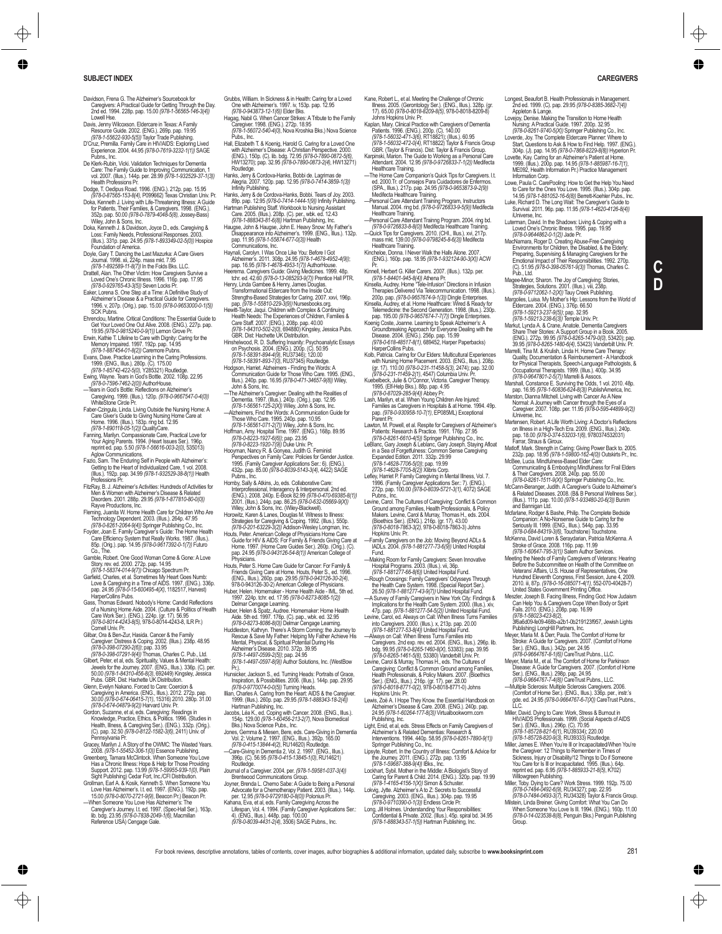- Davidson, Frena G. The Alzheimer's Sourcebook for Caregivers: A Practical Guide for Getting Through the Day. 2nd ed. 1994. 228p. pap. 15.00 *(978-1-56565-146-3(4))*
- Lowell Hse. Davis, Jenny Wilcoxson. Eldercare in Texas: A Family Resource Guide. 2002. (ENG.). 269p. pap. 19.95
- *(978-1-55622-930-5(5))* Taylor Trade Publishing. D'Cruz, Premilla. Family Care in HIV/AIDS: Exploring Lived
- Experience. 2004. 44.95 *(978-0-7619-3232-1(1))* SAGE<br>Pubns., Inc.<br>De Klerk-Rubin, Vicki. Validation Techniques for Dementia<br>Care: The Family Guide to Improving Communication, 1
- vol. 2007. (Illus.). 144p. per. 28.99 *(978-1-932529-37-1(3))* Health Professions Pr. Dodge, T. Oedipus Road. 1996. (ENG.). 212p. pap. 15.95
- *(978-0-87565-153-8(4)*, P099662) Texas Christian Univ. Pr. Doka, Kenneth J. Living with Life-Threatening Illness: A Guide for Patients, Their Families, & Caregivers. 1998. (ENG.). 352p. pap. 50.00 *(978-0-7879-4048-5(8)*, Jossey-Bass) Wiley, John & Sons, Inc. Doka, Kenneth J. & Davidson, Joyce D., eds. Caregiving &
- Loss: Family Needs, Professional Responses. 2003.<br>(Illus.). 331p. pap. 24.95 *(978-1-893349-02-5(0))* Hospice<br>Foundation of America.
- Doyle, Gary T. Dancing the Last Mazurka: A Care Givers Journal. 1998. xii, 224p. mass mkt. 7.95 *(978-1-892589-11-8(7))* In the Folds Bks. LLC.
- Drattell, Alan. The Other Victim: How Caregivers Survive a Loved One's Chronic Illness. 1996. 116p. pap. 17.95 *(978-0-929765-43-3(5))* Seven Locks Pr.
- Eaker, Lorena S. One Step at a Time: A Definitive Study of Alzheimer's Disease & a Practical Guide for Caregivers. 1996. v, 207p. (Orig.). pap. 15.00 *(978-0-9653000-0-1(5))* SCK Pubns.
- Ehrenclou, Martine. Critical Conditions: The Essential Guide to Get Your Loved One Out Alive. 2008. (ENG.). 227p. pap. 19.95 *(978-0-9815240-0-9(1))* Lemon Grove Pr.
- Erwin, Kathie T. Lifeline to Care with Dignity: Caring for the Memory Impaired. 1997. 192p. pap. 14.95 *(978-1-887454-01-8(2))* Caremore Pubns.
- Evans, Dave. Practice Learning in the Caring Professions. 1999. (ENG., Illus.). 280p. (C). 175.00 *(978-1-85742-422-5(0)*, Y285321) Routledge.
- Ewing, Wayne. Tears in God's Bottle. 2002. 108p. 22.95 *(978-0-7596-7462-2(0))* AuthorHouse. —Tears in God's Bottle: Reflections on Alzheimer's
- Caregiving. 1999. (Illus.). 120p. *(978-0-9667547-0-4(0))* WhiteStone Circle Pr. Faber-Czingula, Linda. Living Outside the Nursing Home: A
- Care Giver's Guide to Giving Nursing Home Care at Home. 1996. (Illus.). 183p. ring bd. 12.95 *(978-1-890118-05-1(2))* QualityCare.
- Fanning, Marilyn. Compassionate Care, Practical Love for Your Aging Parents. 1994. (Heart Issues Ser.). 196p. reprint ed. pap. 5.50 *(978-1-56616-003-2(0)*, 535013) Aglow Communications.
- Fazio, Sam. The Enduring Self in People with Alzheimer's:<br>Getting to the Heart of Individualized Care, 1 vol. 2008.<br>Illus.). 192p. pap. 34.99 *(978-1-932529-38-8(1))* Health<br>Professions Pr.
- FitzRay, B. J. Alzheimer's Activities: Hundreds of Activities for<br>Men & Women with Alzheimer's Disease & Related<br>Disorders. 2001. 288p. 29.95 (978-1-877810-80-0(0))
- 
- Disorders. 2001. 288p. 29.95 (978-1-877810-80-0(0))<br>
Raye Productions, Inc.<br>
Fleming, Juanita W. Home Health Care for Children Who Are<br>
Fleming, Juanita W. Home Health Care for Children Who Are<br>
(978-0-8261-2064-9(4)) Spri
- 
- Gamble, Robert One Good Woman Come & Gone: A Love<br>
(Story, rev. ed. 2000, 272p, pap. 14.95<br>
(978-1-56374-014-9(7)) Chicago Spectrum Pr.<br>
(Gamble), Charles, et al. Sometimes My Heart Goes Numb:<br>
Love & Caregiving in a Time
- Gass, Thomas Edward. Nobody's Home: Candid Reflections of a Nursing Home Aide. 2004. (Culture & Politics of Health Care Work Ser.). (ENG.). 224p. (gr. 17). 56.95<br>(978-0-8014-4243-8(5), 978-0-8014-4243-8, ILR Pr.) *(978-0-8014-4243-8(5)*, 978-0-8014-4243-8, ILR Pr.) Cornell Univ. Pr. Gilbar, Ora & Ben-Zur, Hasida. Cancer & the Family
- Caregiver: Distress & Coping. 2002. (Illus.). 238p. 48.95 *(978-0-398-07290-2(6))*; pap. 33.95 *(978-0-398-07291-9(4))* Thomas, Charles C. Pub., Ltd.
- Gilbert, Peter, et al, eds. Spirituality, Values & Mental Health:<br>Jewels for the Journey. 2007. [ENG., Illus.). 336p. (C). per.<br>50.00 (978-1-84310-456-8(3), 692449) Kingsley, Jessica<br>Pubs. GBR. Dist: Hachette UK Distributi
- 
- Glenn, Evelyn Nakano, Frored to Care: Coercion &<br>
2000, 0978-0674-06415-7(1), 15316) 2010.<br>
2000, 0978-0674-06475-7(1), 15316) 2010.<br>
2000, 0978-0674-06479-9(2) Hanard Univ Pr.<br>
Cordon, Suzanne, et al, eds. Caregiving: Rea
- Gracey, Marilyn J. A Story of the OWMC: The Wasted Years.<br>2008. (978-1-55452-306-1(0)) Essence Publishing.<br>Greenberg, Tamara McClintock. When Someone You Love<br>Has a Chronic Illness: Hope & Help for Those Providing
- Support. 2012. pap. 13.99 *(978-1-59955-939-1(0)*, Plain Sight Publishing) Cedar Fort, Inc./CFI Distribution. Grollman, Earl A. & Kosik, Kenneth S. When Someone You
- Love Has Alzheimer's. l.t. ed. 1997. (ENG.). 192p. pap. 15.00 *(978-0-8070-2721-9(9)*, Beacon Pr.) Beacon Pr. —When Someone You Love Has Alzheimer's: The
- Caregiver's Journey. l.t. ed. 1997. (Spec-Hall Ser.). 163p. lib. bdg. 23.95 *(978-0-7838-2049-1(6)*, Macmillan Reference USA) Cengage Gale.
- Grubbs, William. In Sickness & in Health: Caring for a Loved One with Alzheimer's. 1997. iv, 153p. pap. 12.95 *(978-0-943873-12-1(6))* Elder Bks.
- Hagag, Nabil G. When Cancer Strikes: A Tribute to the Family Caregiver. 1998. (ENG.). 272p. 18.95 *(978-1-56072-540-4(0)*, Nova Kroshka Bks.) Nova Science
- Pube., Inc., Hall, Elizabeth T. & Koenig, Harold G. Caring for a Loved One
- with Alzheimer's Disease: A Christian Perspective. 2000. (ENG.). 150p. (C). lib. bdg. 72.95 *(978-0-7890-0872-5(6)*, HW13270); pap. 32.95 *(978-0-7890-0873-2(4)*, HW13271) Routledge.
- Hanks, Jerry & Cordova-Hanks, Bobbi de. Lagrimas de Alegria. 2007. 120p. pap. 12.95 *(978-0-7414-3859-1(3))* Infinity Publishing.
- Hanks, Jerry & de Cordova-Hanks, Bobbi. Tears of Joy. 2003.<br>89p. pap. 12.95 (978-0-7414-1444-1(9)! Infinity Publishing<br>Hartman Publishing Staff. Workbook to Nursing Assistant<br>Care. 2005. (Illus.). 208p. (C). per., wbk. ed.
- (978-1-88834-381-8(8)| Hatman Publishing, Inc.<br>Haugse, John & Haugse, John E. Heavy Snow: My Father's<br>Disappearance into Alzheimer's. 1999. (ENG., Illus.). 132p.<br>pap. 11.95 (978-1-55874-677-0(3)) Health<br>Communications, Inc
- Haynail, Carolyn. I Was Once Like You: Before I Got<br>
pap. 18. Carolyne 2011. 308p. 24.95 (978-1-4678-4952-4(9));<br>
pap. 18.95 (978-1-4678-4952-4(9));<br>
pap. 18.95 (978-1-4678-4952-4(9));<br>
Hereman. Caregivers Guide: Civing Me
- 
- 
- 
- Care Staff. 2007. (ENG.), 209p. pap. 40.00<br>G78-1-94310-502-2(0), 694880) Kingsley, Jessica Pubs.<br>GBR. Dist: Hachette UK Distribution.<br>Hinshelwood, R. D. Suffering Insanly: Psychoanalytic Essays<br>on Psychosis. 2004. (ENG.).
- *(978-1-58391-894-4(9)*, RU37346); 120.00 *(978-1-58391-893-7(0)*, RU37345) Routledge. Hodgson, Harriet. Alzheimers Finding the Words: A Communication Guide for Those Who Care. 1995. (ENG., Illus.). 240p. pap. 16.95 *(978-0-471-34657-9(8))* Wiley,
- John & Sons, Inc.<br>The Alzheimer's Caregiver: Dealing with the Realities of<br>Dementia. 1997. (Illus.). 240p. (Orig.). pap. 12.95<br>(978-1-56651-125-2/21) Wiley, John & Sons, Inc.<br>--Alzheimers, Find the Words: A Communication G
- 
- 
- (978-0-8223-1927-6(6)); pap. 23.95<br>Hooyman, Nancy R. & Gonyea, Judith G. Feminist<br>Hooyman, Nancy R. & Gonyea, Judith G. Feminist<br>Perspectives on Family Care: Policies for Gender Justice<br>1995. (Family Caregiver Applications
- Pubns, Inc.<br>
Implementesissional, Interaperopy & Interpersonal Znd add<br>
Imetry Solary A Richargency & Interpersonal Znd add<br>
Imetry Solary 2001, Illus, 244p, paper 862-8 (978-0-470-69385-8(1)<br>
2001, Illus, 244p, paper 862-
- 
- Home. 1997. (Home Care Guides Ser.). 260p. (Orig.). (C).<br>pap. 24.95 (978-0-943126-54-8(1)) American College of<br>Physicians.<br>Houts, Peter S. Home Care Guide for Cancer: For Family &
- Friends Giving Care at Home. Houts, Peter S., ed. 1996.<br>(ENG., Illus.). 260p. pap. 29.95 (978-0-943726-30-2/4),<br>978-0-943126-30-2) American College of Physicians.<br>Huber, Helen. Homemaker Home Health Aide IML. 5th ed.
- 1997. 224p. tchr. ed. 17.95 *(978-0-8273-8085-1(2))*
- Delmar Cengage Learning. Huber, Helen & Spatz, Audree. Homemaker: Home Health Aide. 5th ed. 1997. 176p. (C). pap., wbk. ed. 32.95 *(978-0-8273-8086-8(0))* Delmar Cengage Learning.
- Huddleston, Kathryn. There's A Storm Coming: the Journey to Rescue & Save My Father: Helping My Father Achieve His Mental, Physical, & Spiritual Potential During His Alzheimer's Disease. 2010. 372p. 39.95
- *(978-1-4497-0599-2(5))*; pap. 24.95 *(978-1-4497-0597-8(9))* Author Solutions, Inc. (WestBow Pr.).
- Hunsicker, Jackson S., ed. Turning Heads: Portraits of Grace,<br>Inspiration, & Possibilities. 2006. (Illus.). 144p. pap. 29.95<br>(978-0-9770074-0-0(5)) Turning Heads.<br>Illian, Charles A. Caring from the Heart: AIDS & the Caregi
- 
- 1999. (Illus). 260p. pap. 29.95 (978-1-886343-18-2(4)<br>Anthan Publishing, Inc.<br>Jacobs, Léa K., ed. Coping with Cancer. 2008. (ENG., Illus.).<br>154p. 123.00 (978-1-60456-213-27). Nova Biomedical<br>Disney Science Pubs., Inc.<br>200
- 
- 
- Routledge. Journal of a Caregiver. 2004. per. *(978-1-59581-037-3(4))* Brentwood Communications Group.
- Joyner, Brenda L. Chemo Sabe: A Guide to Being a Personal Advocate for a Chemotherapy Patient. 2003. (Illus.). 144p. per. 12.95 *(978-0-9729180-0-8(0))* Polonius Pr. Kahana, Eva, et al, eds. Family Caregiving Across the
- Lifespan, Vol. 4. 1994. (Family Caregiver Applications Ser.: 4). (ENG., Illus.). 448p. pap. 100.00 *(978-0-8039-4431-2(4)*, 3506) SAGE Pubns., Inc.
- 
- Kane, Robert L., et al. Meeting the Challenge of Chronic Illness. 2005. (Gerontology Ser.). (ENG., Illus.). 328p. (gr. 17). 65.00 *(978-0-8018-8209-8(5)*, 978-0-8018-8209-8)
- Johns Hopkins Univ. Pr. Kaplan, Mary. Clinical Practice with Caregivers of Dementia Patients. 1996. (ENG.). 200p. (C). 140.00 *(978-1-56032-471-3(6)*, RT18821); (Illus.). 60.95 *(978-1-56032-472-0(4)*, RT18822) Taylor & Francis Group
- GBR. (Taylor & Francis). Dist: Taylor & Francis Group.<br>Karpinski, Marion. The Guide to Working as a Personal Care<br>Attendant. 2004. 12.95 *(978-0-9726833-7-1(2))* Medifecta<br>Healthcare Training.
- —The Home Care Companion's Quick Tips for Caregivers. l.t. ed. 2000.Tr. of Consejos Para Cuidadores de Enfermos. (SPA., Illus.). 217p. pap. 24.95 *(978-0-9653873-9-2(9))* Medifecta Healthcare Training.
- —Personal Care Attendant Training Program, Instructors<br>Manual. 2004. ring bd. *(978-0-9726833-9-5(9))* Medifecta<br>Healthcare Training.
- Personal Care Attendant Trainng Program. 2004. ring bd.<br>(978-0-9726833-8-8/0)) Medifecta Healthcare Training.<br>Quick Tips for Caregivers. 2010. (CHI., Illus.). xvi, 217p.<br>mass mkt. 139.00 (978-0-9798245-8-6(3)) Medifecta
- Healthcare Training. Kincheloe, Donna. I Never Walk the Halls Alone. 2007. (ENG.). 160p. pap. 18.95 *(978-1-932124-90-3(X))* ACW
- 
- 
- Pr.<br>
Minnell, Herbert G. Killer Carers. 2007. (Illus.). 132p. per.<br>
(*GP3-1-94401-945-8(4)*) Althena Pr.<br>
Kinsella, Audrey Home "Tele-Infusion" Directions in Infusion<br>
Therapies Delivered Via Telecommunication. 1998. (Illu
- Koenig Coste, Joanne. Learning to Speak Alzheimer's: A<br>Groundbreaking Approach for Everyone Dealing with the<br>Disease. 2004. (ENG.). 256p. pap. 15.99<br>*(978-0-618-48517-8(1)*, 689452, Harper Paperbacks)
- HarperCollins Pubs<br>Kolb, Patricia. Caring for Our Elders: Multicultural Experiences<br>with Nursing Home Placement. 2003. (ENG., Illus.). 208p.<br>(gr. 17). 110.00 (978-0-231-11458-5(3). 2474); pap. 32.00<br>(778-0-231-11459-2(1),
- 
- Kuebelbeck, Julie & O'Connor, Victoria. Caregiver Therapy.<br>
(978-0-995, CEFHelp Bks.). 88p. pap. 4.95<br>
(978-0-87029-285-9(4)) Abbey Pr.<br>
Lash, Marilyn, et al. When Young Children Are Injured:<br>
East, Marilyn, et al. When Yo
- Lawton, M. Powell, et al. Respite for Caregivers of Alzheimer's Patients: Research & Practice. 1991. 176p. 27.95
- *(978-0-8261-6610-4(5))* Springer Publishing Co., Inc. LeBlanc, Gary Joseph & Leblanc, Gary Joseph. Staying Afloat in a Sea of Forgetfulness: Common Sense Caregiving
- Expanded Edition: 2011. 332p. 29.99<br>(978-1-4628-7706-5(0); pap. 19.99<br>(978-1-4628-7705-8(2)); Nibris Corp.<br>Lefley, Harriet P. Family Caregiving in Mental Illness, Vol. 7.<br>1996. (Family Caregiver Applications Ser.: 7), (ENG
- Pubns, Inc.<br>Levine, Carol. The Cultures of Caregiving: Conflict & Common<br>Ground among Families, Health Professionals, & Policy<br>Makers. Levine, Carol. & Murray, Thornas H., eds. 2004.<br>(Bloethics Ser.). (ENG.). 216p. (gr. 17
- —Family Caregivers on the Job: Moving Beyond ADLs & IADLs. 2004. *(978-1-881277-73-6(9))* United Hospital Fund.
- —Making Room for Family Caregivers: Seven Innovative
- 
- 
- Hospital Programs. 2003. (Illus.). vii, 36p.<br>
(978-1-881277-66-8(6)) United Hospital Fund.<br>
The Health Care System. 1998. (Special Fander).<br>
26.50 (978-1-881277-45-9(7) United Hospital Fund.<br>
26.50 (978-1-881277-45-9(7) Un
- 
- *(978-0-8265-1461-5(8)*, 53380) Vanderbilt Univ. Pr. Levine, Carol & Murray, Thomas H., eds. The Cultures of Caregiving: Conflict & Common Ground among Families, Health Professionals, & Policy Makers. 2007. (Bioethics Ser.). (ENG., Illus.). 216p. (gr. 17). per. 28.00 *(978-0-8018-8771-0(2)*, 978-0-8018-8771-0) Johns
- Hopkins Univ. Pr. Lewis, Zoë A. I Hope They Know. the Essential Handbook on Alzheimer's Disease & Care. 2008. (ENG.). 240p. pap. Publishing, Inc.<br>
Light, Enid, et al, eds. Stress Effects on Family Caregivers of
- Light, Enid, et al, eds. Stress Effects on Family Caregivers of<br>Alzheimer's & Related Dementias: Research &<br>Interventions. 1994. 440p. 58.95 (978-0-8261-7890-9(1))<br>Springer Publishing Co., Inc.<br>Lipsyle, Robert. In the Coun
- 
- *(978-1-59687-388-9(4))* IBks., Inc. Lockhart, Sybil. Mother in the Middle: A Biologist's Story of Caring for Parent & Child. 2014. (ENG.). 320p. pap. 19.99 *(978-1-4165-4156-1(X))* Simon & Schuster.
- Lokvig, Jytte. Alzheimer's A to Z: Secrets to Successful Caregiving. 2003. (ENG., Illus.). 304p. pap. 19.95 *(978-0-9710390-0-1(3))* Endless Circle Pr.

For book reviews, descriptive annotations, tables of contents, cover images, author biographies & additional information, updated daily, subscribe to **www.booksinprint.com** 281

Long, Jill Holmes. Understanding Your Responsibilities: Confidential & Private. 2002. (Illus.). 45p. spiral bd. 34.95 *(978-1-888343-57-1(5))* Hartman Publishing, Inc.

- Longest, Beaufort B. Health Professionals in Management. 2nd ed. 1999. (C). pap. 29.95 *(978-0-8385-3682-7(4))*
- Appleton & Lange.<br>
Lovejoy, Denise. Making the Transition to Home Health<br>
Nursing: A Practical Guide. 1997. 200p. 32.95<br>
(978-0-8261-9740-5/X)) Springer Publishing Co., Inc.<br>
Loverde, Joy. The Complete Edercare Planner. Wh

304p. (J). pap. 14.95 *(978-0-7868-8229-8(8))* Hyperion Pr. Lovette, Kay. Caring for an Alzheimer's Patient at Home. 1999. (Illus.). 200p. pap. 14.95 *(978-1-885987-16-7(1)*, ME092, Health Information Pr.) Practice Managem Information Corp. Lowe, Paula C. CarePooling: How to Get the Help You Need to Care for the Ones You Love. 1995. (Illus.). 304p. pap. 14.95 *(978-1-881052-16-6(8))* Berrett-Koehler Pubs., Inc. Luke, Richard D. The Long Wait: The Caregiver's Guide to

Survival. 2011. 96p. pap. 11.95 (978-1-4620-4126-8(4),<br>illuhiverse, inc.<br>Luterman, David In the Shadows: Living & Coping with a<br>Luterman, David In the Shadows: Living & Coping with<br> $(978-0.9644862-0.17)$ . Jade Pr.<br>hardkama

Magee-Minor, Sharon. The Joy of Caregoinig: Sbries,<br>
Strategies, Solutions. 2001. (Illus.). viii, 238p.<br>
(978-0-9712062-1-2/X)) Tauy Creek Publishing.<br>
Margolies, Luisa. My Moher's Hip: Lessons from the World of<br>
(978-1-59

**C D**

Share Their Stories: A Support Group in a Book. 2005.<br>(ENG.). 272p. 99.95 *(978-0-8265-1479-0(0)*, 53420); pap<br>39.95 *(978-0-8265-1480-6(4)*, 53423) Vanderbilt Univ. Pr.

Marrelli, Tina M. & Krulish, Linda H. Horne Care Therapy:<br>for Physical Therapy: for the Markovich for Physical Therapy:<br>for Physical Therapists, Speech-Language Pathologists, 8<br>(978-04947801-245(7)) Marrelli & Assocs.<br>(978

Marston, Dianna Mitchell. Living with Cancer As A New Normal: A Journey with Cancer through the Eyes of a Caregiver. 2007. 108p. per. 11.95 *(978-0-595-44899-9(2))*

il universe, Inc.<br>
Marthense, Robert. A Life Worth Living: A Doctor's Reflections<br>
on Illness in a High-Tech Era. 2003. (ENCs. Illus.). 240p.<br>
Franz, Straus & Giroux. (ENCs. Illus.). 240p.<br>
Franz, Straus & Giroux.<br>
Matloff

(Illus.). 111p. pap. 10.00 *(978-1-933480-20-6(3))* Bunim and Bannigan Ltd. Mcfarlane, Rodger & Bashe, Philip. The Complete Bedside Companion: A No-Nonsense Guide to Caring for the Seriously Ill. 1999. (ENG., Illus.). 544p. pap. 33.95 *(978-0-684-84319-3(6)*, Touchstone) Touchstone. McKenna, David Loren & Seraydarian, Patricia McKenna. A Stroke of Grace. 2008. 116p. pap. 11.99 *(978-1-60647-795-3(1))* Salem Author Services.

Meeting the Needs of Family Caregivers of Veterans: Hearing<br>Before the Subcommittee on Health of the Committee on<br>Veterans Affairs, U.S. House of Representatives, One<br>Hundred Eleventh Congress, First Session, June 4, 2009<br>

Meszler, Joseph B. Facing Illness, Finding God: How Judaism Can Help You & Caregivers Cope When Body or Spirit Fails. 2010. (ENG.). 208p. pap. 16.99 *(978-1-58023-423-8(2)*, 3f6a6d09-fe09-468b-a2b1-0b219123f957, Jewish Lights Publishing) LongHill Partners, Inc. Meyer, Maria M. & Derr, Paula. The Comfort of Home for Stroke: A Guide for Caregivers. 2007. (Comfort of Home Ser.). (ENG., Illus.). 342p. per. 24.95 *(978-0-9664767-8-1(6))* CareTrust Pubns., LLC.

Meyer, Maria M., et al. The Comfort of Home for Parkinson<br>Disease: A Guide for Caregivers. 2007. (Comfort of Home<br>Ser.). (ENG., Illus.). 298p. pap. 24.95<br>(978-0-9664767-7-4(8)) CareTrust Pubns., LLC.<br>—Multiple Sclerosis: M

gde. ed. 24.95 *(978-0-9664767-6-7(X))* CareTrust Pubns., LLC. Miller, David. Dying to Care: Work, Stress & Burnout in HIV/AIDS Professionals. 1999. (Social Aspects of AIDS Ser.). (ENG., Illus.). 296p. (C). 70.95 *(978-1-85728-821-6(1)*, RU39334); 220.00 *(978-1-85728-820-9(3)*, RU39333) Routledge.

Miller, James E. When You're III or Incapacitated When You're<br>Sichess, Injuny or Disability <sup>12</sup> Things to Remember in Times of<br>Sichess, Injuny or Disability<sup>12</sup> Things to Do if Someone<br>Sichess, Injuny or Disability<sup>22</sup> Th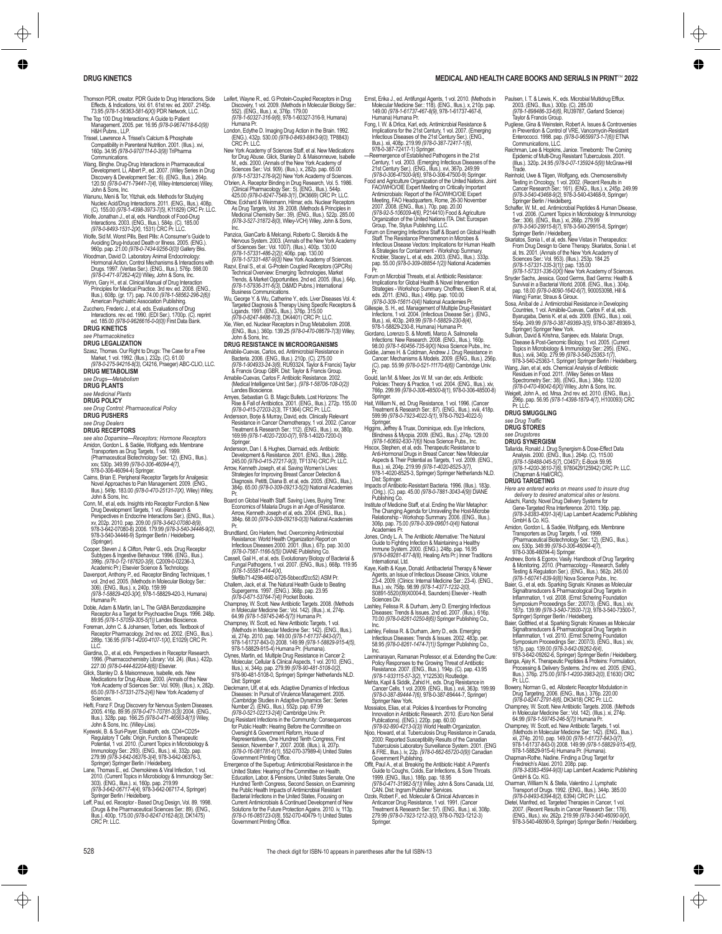- Thomson PDR, creator. PDR Guide to Drug Interactions, Side Effects, & Indications, Vol. 61. 61st rev. ed. 2007. 2145p. 73.95 *(978-1-56363-581-6(X))* PDR Network, LLC.
- The Top 100 Drug Interactions; A Guide to Patient Management. 2005. per. 16.95 *(978-0-9674718-6-0(9))* H&H Pubns., LLP.
- Trissel, Lawrence A. Trissel's Calcium & Phosphate Compatibility in Parenteral Nutrition. 2001. (Illus.). xvi, 160p. 34.95 *(978-0-9707114-0-3(9))* TriPharma
- Communications. Wang, Binghe. Drug-Drug Interactions in Pharmaceutical Development. Li, Albert P., ed. 2007. (Wiley Series in Drug<br>Discovery & Development Ser.: 6). (ENG., Illus.). 264p.<br>120.50 *(978-0-471-79441-7(4)*, Wiley-Interscience) Wiley,
- John & Sons, Inc.<br>Wanunu, Meni & Tor, Ylizhak, eds. Methods for Studying<br>Nucleic Acid/Drug Interactions. 2011. (ENG., Illus.). 408p.<br>(C). 155.00 (978-7-4398-3973-7(5), K11829) CRC Pr. LLC.<br>Wolfe, Jonathan J., et al, eds. H
- Interactions. 2003. (ENG., Illus.). 584p. (C). 185.00 *(978-0-8493-1531-2(X)*, 1531) CRC Pr. LLC.
- 
- 
- Works, Staff M. Worst Pills, Best Pills: A Consumer's Guide to<br>
960p. app. 2100 (978-0744-9256-070) Gallety Book<br>
960p. app. 2100 (978-0744-9256-070) Gallety Biks.<br>
960p. app. 2100 (978-0744-9256-070) Gallety Biks.<br>
Woodma
- ed. 185.00 *(978-0-9626616-0-0(0))* First Data Bank. **DRUG KINETICS**

### *see Pharmacokinetics*

#### **DRUG LEGALIZATION**

Szasz, Thomas. Our Right to Drugs: The Case for a Free Market, 1 vol. 1992. (Illus.). 232p. (C). 61.00 *(978-0-275-94216-8(3)*, C4216, Praeger) ABC-CLIO, LLC.

**DRUG METABOLISM** *see Drugs—Metabolism*

#### DRUG PLANTS

*see Medicinal Plants*

**DRUG POLICY**

*see Drug Control; Pharmaceutical Policy* **DRUG PUSHERS**

#### *see Drug Dealers*

- **DRUG RECEPTORS**
- see also Dopamine--Receptors; Hormone Receptors<br>Amidon, Gordon L. & Sadée, Wolfgang, eds. Membrane<br>Transporters as Drug Targets, 1 vol. 1999.<br>Transporters as Drug Targets, 1901.<br>Pharmaceutical Biotechnology Ser: 12). (ENG. 978-0-306-46094-4) Springer.
- Cairns, Brian E. Peripheral Receptor Targets for Analgesia: Novel Approaches to Pain Management. 2009. (ENG., Illus.). 549p. 183.00 *(978-0-470-25131-7(X)*, Wiley) Wiley,
- John & Sons, Inc.<br>Conn, M., et al, eds. Insights into Receptor Function & New<br>Drug Development Targets, 1 vol. (Research &<br>Perspectives in Endocrine Interactions Ser.). (ENG., Illus.).<br>Xv, 202p. 2010. pap. 209.00 (978-3-64 978-3-642-07080-8) 2006. 179.99 *(978-3-540-34446-9(2)*, 978-3-540-34446-9) Springer Berlin / Heidelberg. (Springer).
- Cooper, Steven J. & Clifton, Peter G., eds. Drug Receptor Subtypes & Ingestive Behaviour. 1996. (ENG., Illus.). 399p. *(978-0-12-187620-3(9)*, C2009-0-02236-3, Academic Pr.) Elsevier Science & Technology.
- Davenport, Anthony P., ed. Receptor Binding Techniques, 1<br>vol. 2nd ed. 2005. (Methods in Molecular Biology Ser.:<br>306). (ENG., Illus.). x, 240p. 159.99<br>*(978-1-58829-420-3(X)*, 978-1-58829-420-3, Humana) Humana Pr.
- Doble, Adam & Martin, Ian L. The GABA Benzodiazepine Receptor As a Target for Psychoactive Drugs. 1996. 248p. 89.95 *(978-1-57059-305-5(1))* Landes Bioscience.
- Foreman, John C. & Johansen, Torben, eds. Textbook of<br>Receptor Pharmacology. 2nd rev. ed. 2002. (ENG., Illus.).<br>289p. 136.95 *(978-1-4200-4107-1(X)*, E1029) CRC Pr.<br>LLC.
- Giardina, D., et al, eds. Perspectives in Receptor Research.<br>1996. (Pharmacochemistry Library: Vol. 24). (Illus.). 422p.
- 1996. (Pharmacochemisty Lubrary, Vol. 24). (Illus.). 422p.<br>227.00 (978-0-444-82204-8(8)] Elsevier.<br>Glick, Stanley D. & Maisonneuve, Isabelle, eds. New<br>Medications for Drug Abuse. 2000. (Amals of the New<br>York Academy of Sci
- Hefti, Franz F. Drug Discovery for Nervous System Diseases. 2005. 416p. 89.95 *(978-0-471-70781-3(3))* 2004. (ENG., Illus.). 328p. pap. 166.25 *(978-0-471-46563-8(1))* Wiley, John & Sons, Inc. (Wiley-Liss).
- Kyewski, B. & Suri-Payer, Elisabeth, eds. CD4+CD25+ Regulatory T Cells: Origin, Function & Therapeutic Potential, 1 vol. 2010. (Current Topics in Microbiology & Immunology Ser.: 293). (ENG., Illus.). xii, 332p. pap. 279.99 *(978-3-642-06376-3(4)*, 978-3-642-06376-3, Springer) Springer Berlin / Heidelberg.
- Lane, Thomas E., ed. Chemokines & Viral Infection, 1 vol.<br>2010. (Current Topics in Microbiology & Immunology Ser.:<br>303). (ENG., Illus.). xi, 160p. pap. 219.99<br>(978-3-642-06717-4(4), 978-3-642-06717-4, Springer)<br>Springer Be
- (Drugs & the Pharmaceutical Sciences Ser.: 89). (ENG., Illus.). 400p. 175.00 *(978-0-8247-0162-8(3)*, DK1475) CRC Pr. LLC.
- Leifert, Wayne R., ed. G Protein-Coupled Receptors in Drug<br>Discovery, 1 vol. 2009. (Methods in Molecular Biology Ser.<br>552). (ENG., Illus.). xi, 376p. 179.00
- 
- *Humana Pr.<br>
Humana Pr.<br>
London, Edythe D. Imaging Drug Action in the Brain. 1992<br>
London, Edythe D. Imaging Drug Action in the Brain. 1992<br>
CRC Pr. LLC.<br>
CRC Pr. LLC.*
- New York Academy of Sciences Staff, et al. New Medications<br>
Inc., eds. 2000. (Amals of the New York Academy of<br>
M., eds. 2000. (Amals of the New York Academy of<br>
Sciences Ser: Vol. 909. (Illus.). v. 282p. pap. 65.00<br>
(978-
- 
- Ottow, Eckhard & Weinmann, Hilmar, eds. Nuclear Receptors As Drug Targets, Vol. 39. 2008. (Methods & Principles in Medicinal Chemistry Ser.: 39). (ENG., Illus.). 522p. 285.00 *(978-3-527-31872-8(0)*, Wiley-VCH) Wiley, John & Sons, Inc.
- Panzica, GianCarlo & Melcangi, Roberto C. Steroids & the Nervous System. 2003. (Annals of the New York Academy of Sciences Ser.: Vol. 1007). (Illus.). 400p. 130.00
- *(978-1-57331-486-2(2))*; 406p. pap. 130.00 *(978-1-57331-487-9(0))* New York Academy of Sciences. Razvi, Enal S., et al. G-Protein Coupled Receptors (GPCRs) Technical Overview: Emerging Technologies, Market<br>Trends, & Market Opportunities. 2nd ed. 2005. (Illus.). 64p.<br>*(978-1-57936-311-6(3), D&MD Pubns.) International*<br>Business Communications.
- Wu, George Y. & Wu, Catherine Y., eds. Liver Diseases Vol. 4<br>Ligants. 1991. (ENC), Cathering Using Specific Receptors & Theory.<br>Ligants. 1991. (ENC), IIUs. 376p. 315.00<br>Ligants. 1997. ENC (ENC), DKAP(1) DRC Pr. LLC.<br>Xie, W
- 
- **DRUG RESISTANCE IN MICROORGANISMS**
- 
- Amábile-Cuevas, Carlos, ed. Antimicrobial Resistance in<br>
Bacteria. 2006. (ENG., Illus.). 210p. (C). 275.00<br>
(*978-1-904933-24-3*(6), RU93324, Taylor & Francis) Taylor<br>
& Francis Group GBR. Dist: Taylor & Francis Group.<br>
Am
- 
- Landes Bioscience.<br>Amyes, Sebastian G. B. Magic Bullets, Lost Horizons: The<br>Rise & Fall of Antibiotics. 2001. (ENG., Illus.). 272p. 155.00<br>(978-0-415-2720: 22(3). TF1 394) CRC Pr. LLC.<br>Andersson, Borje & Murray, David, eds Springer.
- Andersson, Dan I. & Hughes, Diarmaid, eds. Antibiotic Development & Resistance. 2001. (ENG., Illus.). 288p. 245.00 *(978-0-415-27217-9(3)*, TF1374) CRC Pr. LLC.
- Arrow, Kenneth Joseph, et al. Saving Women's Lives: Strategies for Improving Breast Cancer Detection & Diagnosis. Petitti, Diana B. et al, eds. 2005. (ENG., Illus.). 384p. 65.00 *(978-0-309-09213-5(2))* National Academies Pr.
- . . .<br>ird on Global Health Staff. Saving Lives, Buying Time Economics of Malaria Drugs in an Age of Resistance. Arrow, Kenneth Joseph et al, eds. 2004. (ENG., Illus.). 384p. 68.00 *(978-0-309-09218-0(3))* National Academies
- Pr.<br>Brundtland, Gro Harlem, frwd. Overcoming Antimicrobial<br>Resistance: World Health Organization Report on<br>Infectious Diseases 2000. 2001. (Illus.). 67p. pap. 30.00<br>*(978-0-7567-1166-5(5))* DIANE Publishing Co.
- Cassell, Gail H., et al, eds. Evolutionary Biology of Bacterial & Fungal Pathogens, 1 vol. 2007. (ENG., Illus.). 668p. 119.95
- *(978-1-55581-414-4(X)*, 5fef6b71-4298-46f2-b726-5bbecdf2cc52) ASM Pr. Challem, Jack, et al. The Natural Health Guide to Beating Supergerms. 1997. (ENG.). 368p. pap. 23.95 *(978-0-671-53764-7(4))* Pocket Books. Champney, W. Scott. New Antibiotic Targets. 2008. (Methods
- in Molecular Medicine Ser.: Vol. 142). (Illus.). xi, 274p. 64.99 *(978-1-59745-246-5(7))* Humana Pr. Champney, W. Scott, ed. New Antibiotic Targets, 1 vol.
- (Methods in Molecular Medicine Ser.: 142). (ENG., Illus.).<br>xii, 274p. 2010. pap. 149.00 *(978-1-61737-843-0(7),*<br>978-1-51737-843-0) 2008. 149.99 (978-1-58829-915-4(5),<br>978-1-58829-915-4) Humana Pr. (Humana).
- Clynes, Martin, ed. Multiple Drug Resistance in Cancer 2:<br>Molecular, Cellular & Clinical Aspects, 1 vol. 2010. (ENG.<br>Illus.). xi, 344p. pap. 279.99 (978-90-481-5108-0[2],<br>978-90-481-5108-0, Springer) Springer Netherlands N
- Dist: Springer. Dieckmann, Ulf, et al, eds. Adaptive Dynamics of Infectious Diseases: In Pursuit of Virulence Management. 2005. (Cambridge Studies in Adaptive Dynamics Ser.: Series Number 2). (ENG., Illus.). 552p. pap. 67.99 *(978-0-521-02213-2(4))* Cambridge Univ. Pr.
- Drug Resistant Infections in the Community: Consequences<br>for Public Health: Hearing Before the Committee on<br>Oversight & Government Reform, House of<br>Representatives, One Hundred Tenth Congress, First<br>Session, November 7, 20
- Government Printing Office.<br>Emergence of the Superbug: Antimizabial Resistance in the<br>United States: Hearing of the Committee on Health,<br>Eutaciaton, Labor, & Pensions, Unted States Senate, One<br>Hundred Tenth Congress, Secon Current Antimicrobials & Continued Development of New Solutions for the Future Protection Agains. 2010. iv, 113p. *(978-0-16-085123-0(8)*, 552-070-40479-1) United States Government Printing Office.

528 The check digit for ISBN-10 appears in parentheses after the full ISBN-13

- Ernst, Erika J., ed. Antifungal Agents, 1 vol. 2010. (Methods in Molecular Medicine Ser.: 118). (ENG., Illus.). x, 210p. pap. 149.00 *(978-1-61737-467-8(9)*, 978-1-61737-467-8,
- Humana) Humana Pr. Fong, I. W. & Drlica, Karl, eds. Antimicrobial Resistance & Implications for the 21st Century, 1 vol. 2007. (Emerging Infectious Diseases of the 21st Century Ser.). (ENG., Illus.). xii, 408p. 219.99 *(978-0-387-72417-1(6)*, 978-0-387-72417-1) Springer.
- —Reemergence of Established Pathogens in the 21st Century, 1 vol. 2003. (Emerging Infectious Diseases of the 21st Century Ser.). (ENG., Illus.). xvi, 367p. 249.99 *(978-0-306-47500-9(6)*, 978-0-306-47500-9) Springer.
- Food and Agriculture Organization of the United Nations. Joint Andre Andwington Child Andre<br>Andrinicrobials: Report of the FAOMHOIOIE Expert<br>Merlining FAO Headquarters, Rome, 26:30 November<br>2007. 2008. (ENG., Illus.). 70p.
- Forum on Emerging Infections Staff & Board on Global Health Staff. The Resistance Phenomenon in Microbes & Infectious Disease Vectors: Implications for Human Health & Strategies for Containment - Workshop Summary.<br>Knobler, Stacey L. et al, eds. 2003. (ENG., Illus.). 333p.<br>pap. 55.00 *(978-0-309-08854-1(2))* National Academies<br>Pr.
- Forum on Microbial Threats, et al. Antibiotic Resistance: Implications for Global Health & Novel Intervention Strategies Workshop Summary. Choffnes, Eileen R. et al, eds. 2011. (ENG., Illus.). 496p. pap. 100.00
- $(978-0.309-75611-0(4))$  National Academies Pr.<br>Gillespie, S. H., ed. Maragement of Multiple Drug-Resistan<br>Infections, 1 vol. 2004. (Infectious Disease Ser.). (ENG.,<br>Illus.). xii, 403p. 249.99 (978-1-58829-230-8(4),<br>978-1-
- 
- Infections: New Research. 2008. (ENG., Illus.). 160p.<br>98.00 (978-1-60456-735-9/X)) Nova Science Pubs., Inc.<br>Goldie, James H. & Coldman, Andrew J. Drug Resistance in<br>Cancer: Mechanisms & Models. 2009. (ENG., Illus.). 256p. (C). pap. 55.99 *(978-0-521-11170-6(6))* Cambridge Univ. Pr.
- Gould, Ian M. & Meer, Jos W. M. van der, eds. Antibiotic Policies: Theory & Practice, 1 vol. 2004. (ENG., Illus.). xiv, 766p. 299.99 *(978-0-306-48500-8(1)*, 978-0-306-48500-8)
- Springer. Hait, William N., ed. Drug Resistance, 1 vol. 1996. (Cancer Treatment & Research Ser.: 87). (ENG., Illus.). xviii, 418p. 599.99 *(978-0-7923-4022-5(1)*, 978-0-7923-4022-5)
- Springer.<br>Higgins, Jeffrey & Truax, Dominique, eds. Eye Infections,<br>Blindness & Myopia. 2009. (ENG., Illus.). 274p. 129.00<br>(778-1-60692-630-7(6)) Nova Science Pubs., Inc.<br>Hiscox, Stephen, et al, eds. Therapeutic Resistance
- Anti-Hormonal Drugs in Breast Cancer: New Molecular<br>Aspects & Their Potential as Targets, 1 vol. 2009. (ENG.,<br>Illus.). xii, 204p. 219.99 *(978-1-4020-8525-3(7),*<br>978-1-4020-8525-3, Springer) Springer Netherlands NLD.
- 
- Dist: Springer.<br>Impacts of Antibiotic-Resistant Bacteria. 1996. (Illus.). 183p.<br>
(Orig.). (Cl. pap. 45.00 (978-0-7881-3043-4(9)) DIANE<br>
Publishing Co.<br>
Institute of Medicine Staff, et al. Ending the War Metaphor:<br>
The Chan
- Academies Pr. Jones, Cindy L. A. The Antibiotic Alternative: The Natural Guide to Fighting Infection & Maintaining a Healthy Immune System. 2000. (ENG.). 248p. pap. 16.95 *(978-0-89281-877-8(8)*, Healing Arts Pr.) Inner Traditions
- International, Ltd. Kaye, Keith & Kaye, Donald. Antibacterial Therapy & Newer Agents, an Issue of Infectious Disease Clinics, Volume<br>23-4. 2009. (Clinics: Internal Medicine Ser.: 23-4). (ENG.<br>Illus.). xiv, 758p. 98.99 *(978-1-4377-1232-2(0)*,<br>S0891-5520(09)X0004-8, Saunders) Elsevier - Health
- Sciences Div.<br>Lashley, Felissa R. & Durham, Jerry D. Emerging Infectious<br>Diseases: Trends & Issues. 2nd ed. 2007. (Illus.). 616p.<br>70.00 *(978-0-8261-0250-8(6)) S*pringer Publishing Co.,<br>Inc.
- Lashley, Felissa R. & Durham, Jerry D., eds. Emerging Infectious Diseases: Trends & Issues. 2002. 483p. per. 58.95 *(978-0-8261-1474-7(1))* Springer Publishing Co.,
- Inc. Laxminarayan, Ramanan Professor, et al. Extending the Cure: Policy Responses to the Growing Threat of Antibiotic<br>Resistance. 2007. (ENG, Illus.). 194p. (C). pap. 43.95<br>(978-1-933115-57-3(2), Y122530) Routledge.<br>Mehta, Kapil & Siddik, Zahid H., eds. Drug Resistance in<br>Cancer Cells,
- *(978-0-387-89444-7(6)*, 978-0-387-89444-7, Springer)
- 
- Springer New York.<br>
MacRossian Chicago Relations & Incentives for Promoting<br>
Immovation in Ambibiotic Research. 2010, (Euro Non Serial<br>
(Pra-22-890-4273-200), pap. 60.00<br>
(Pra-22-890-4273-200), Word Health Organization.<br>
(
- 
- Treatment & Research Ser.: 57). (ENG., Illus.). xii, 308p. 279.99 *(978-0-7923-1212-3(0)*, 978-0-7923-1212-3) Springer
- Paulsen, I. I. & Lewis, K., eds. Microbial Multidrug Efflux.<br>2003. (ENG., Illus.). 300p. (C). 285.00
- *(978-1-898486-33-6(6)*, RU39787, Garland Science) Taylor & Francis Group. Pugliese, Gina & Weinstein, Robert A. Issues & Controversies in Prevention & Control of VRE, Vancomycin-Resistant
- Entercocco. 1998, pap. (978-0-9659973-1-7(6)) ETNA<br>Reichman, Lee & Hopkins, Janice. Timebomb: The Coming<br>Reichman, Lee & Hopkins, Janice. Timebomb: The Coming<br>Epidemic of Multi-Drug Resistant Tuberculosis. 2001.<br>(Ilus.). 3
- Reinhold, Uwe & Iligen, Woltgang, eds. Chemosensitivity<br>Testing in Oncology, 1 vol. 2002. (Recent Results in<br>Cancer Research Ser.: 161). (ENG, Illus.). x, 245p. 249.99<br>(978-3-540-43468-9(2), 978-3-540-43468-9, Springer)
- Springer Berlin / Heidelberg. Schaffer, W. M., ed. Antimicrobial Peptides & Human Disease, 1 vol. 2006. (Current Topics in Microbiology & Immunology<br>Ser.: 306). (ENG., Illus.). xi, 266p. 279.99<br>*(978-3-540-29915-8(7), 978-*3-540-29915-8, Springer)<br>Springer Berlin / Heidelberg.
- Skarlatos, Sonia I., et al, ets New Vistas in Therapeutics:<br>al, trs. 2001, (Amery Boster), Skarlatos, Sonia I. et<br>al, trs. 2001, (Amals of the New York Academy of<br>Sciences Ser.: Vol. 953), (Illus.), 2530. 194.25<br>(978-1-573
- Survival in a Bacterial World. 2008. (ENG., Illus.). 304p. pap. 18.00 *(978-0-8090-1642-6(7)*, 900053098, Hill & Wang) Farrar, Straus & Giroux.
- Sosa, Anibal de J. Antimicrobial Resistance in Developing<br>Countries, 1 vol. Amábile-Cuevas, Carlos F. et al, eds.<br>Byarugaba, Denis K. et al, eds. 2009. (ENG., Illus.). xxiii,<br>554p. 249.99 (978-0-387-89369-3(5), 978-0-387-8
- Springer) Springer New York. Sullivan, David & Krishna, Sanjeev, eds. Malaria: Drugs, Disease & Post-Genomic Biology, 1 vol. 2005. (Current Topics in Microbiology & Immunology Ser.: 295). (ENG.,<br>Illus.). xviii, 340p. 279.99 (978-3-540-25363-1(7),<br>978-3-540-25363-1, Springer) Springer Berlin / Heidelberg<br>Wang, Jian, et al, eds. Chemical Analysis of Antibiotic
- Residues in Food. 2011. (Wiley Series on Mass<br>Spectrometry Ser.: 38). (ENG., Illus.). 384p. 132.00<br>(978-0-470-49042-6(X)) Wiley, John & Sons, Inc.<br>Weigelt, John A., ed. Mrsa. 2nd rev. ed. 2010. (ENG., Illus.)

296p. pap. 56.95 *(978-1-4398-1879-4(7)*, H100093) CRC Pr. LLC.

**DRUG SYNERGISM**<br>Tallarda, Ronald J. Drug Synergism & Dose-Effect Data<br>Analysis. 2000. (ENG., Illus.). 264p. (C). 115.00<br>(978-1-4200-3610-7/6), 9780429125942) CRC Pr. LLC<br>(Shapman & Hall/CRC).<br>(Chapman & Hall/CRC).

DRUG TARGETING<br>
Here are entered works on means used to insure drug<br>
delivery to desired anatomical sites or lesions.<br>
Adactii, Randy, Novel Drug Delivery Systems for<br>
Gene-Targeted Rna Interference. 2010. 136p, pap.<br>
(978

Amidon, Gordon L. & Sadée, Wolfgang, eds. Membrane Transporters as Drug Targets, 1 vol. 1999. (Pharmaceutical Biotechnology Ser.: 12). (ENG., Illus.).

xov, 530p. 349.99 (978-0-306-46094-4/7),<br>
978-0-306-46094-4) Spinger.<br>
Andreev, Boris & Egorov, Vasily, Handbook of Drug Targeting<br>
Andreev, Boris & Egorov, Vasily, Handbook of Drug Targeting<br>
Testing & Regulation Ser.), (

Springer) Springer Berlin / Heidelberg.<br>Baier, Gottfried, et al. Sparking Signals: Kinases as Molecular<br>Gignaltransducers & Pharmacological Drug Targets in<br>Inflammation, 1 vol. 2010. (Ernst Schering Foundation

Symposium Proceedings Ser.: 2007/3). (ENG., Illus.). xiv,<br>187p. pap. 139.00 (978-3-642-09262-6/4).<br>978-3-642-09262-6, Springer) Springer Berlin / Heidelberg<br>Banga, Ajay K. Therapeutic Peptides & Proteins: Formulation,<br>Proc

Pr. LLC.<br>Bowey, Norman G., ed. Allosteric Receptor Modulation in<br>Drug Targeling. 2006. (ENG., Illus.). 376p. 220.00<br>(978-0-8247-2791-8/6). DK3418) CRC Pr. LLC.<br>Champrey, W. Scott. New Antibiotic Targels. 2008. (Methods<br>The

64.99 *(978-1-59745-246-5(7))* Humana Pr. Champney, W. Scott, ed. New Antibiotic Targets, 1 vol. (Methods in Molecular Medicine Ser.: 142). (ENG., Illus.). xii, 274p. 2010. pap. 149.00 *(978-1-61737-843-0(7)*, 978-1-61737-843-0) 2008. 149.99 *(978-1-58829-915-4(5)*, 978-1-58829-915-4) Humana Pr. (Humana). Chapman-Rothe, Nadine. Finding a Drug Target for Friedreich's Ataxi. 2010. 208p. pap. *(978-3-8383-4594-9(0))* Lap Lambert Academic Publishing GmbH & Co. KG. Charman, William N. & Stella, Valentino J. Lymphatic Transport of Drugs. 1992. (ENG., Illus.). 344p. 385.00 *(978-0-8493-6394-8(2)*, 6394) CRC Pr. LLC. Dietel, Manfred, ed. Targeted Therapies in Cancer, 1 vol.<br>2007: (Recent Results in Cancer Research Ser: 176).<br>(ENG., Illus.). xiv, 262p. 219.99 (978-3-540-46090-9/X),<br>978-3-540-46090-9, Springer) Springer Berlin / Heidelbe

# **DRUG SMUGGLING**

*see Drug Traffic* **DRUG STORES** *see Drugstores*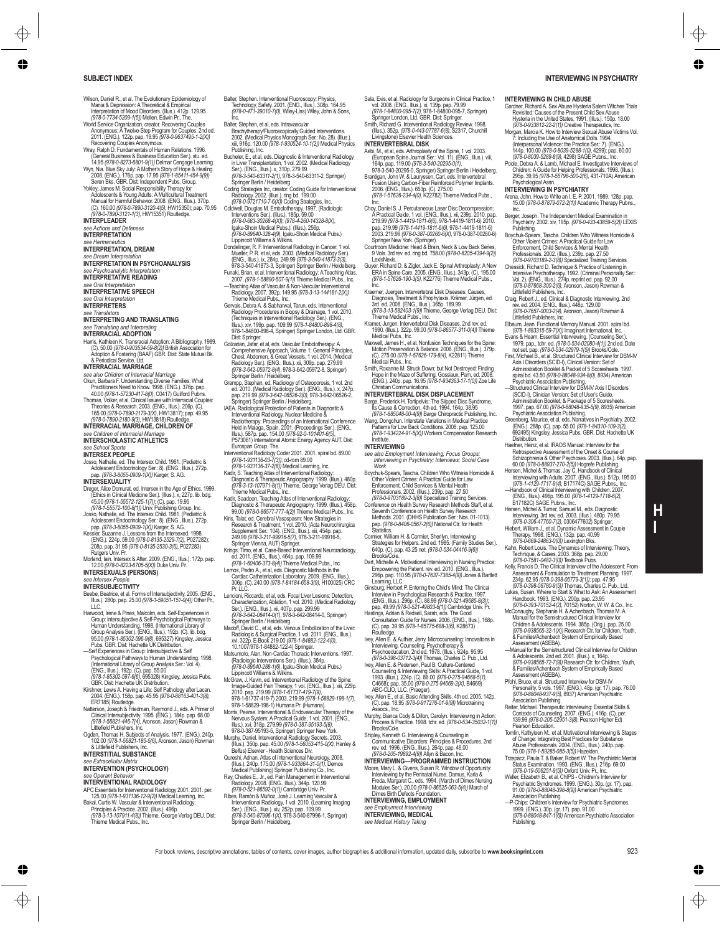- Wilson, Daniel R., et al. The Evolutionary Epidemiology of Mania & Depression: A Theoretical & Empirical
- Interpretation of Mood Disorders. (IIIus.), 412p.<br>1976-07734-5209-1(5)) Mellen, Edwin Pr., The.<br>World Service Organization, creator. Recovering Couples<br>Program for Couples.<br>2011. (ENG.), 122p. pap. 19.95 (978-0-9637495-1-2
- 
- 
- 
- Adolescents & Young Adults: A Multicultural Treatment<br>Manual for Harmful Behavior. 2008. (ENG., Illus.). 370p.<br>*(C).* 160.00 *(978-0-7890-3120-4(5),* HW15350); pap. 70.95<br>*(978-0-7890-3121-1(3),* HW15351) Routledge.

**INTERPLEADER**

# *see Actions and Defenses* **INTERPRETATION**

*see Hermeneutics*

### **INTERPRETATION, DREAM**

- *see Dream Interpretation*
- **INTERPRETATION IN PSYCHOANALYSIS**<br>See Psychoanalytic Interpretation
- *see Psychoanalytic Interpretation* **INTERPRETATIVE READING**
- *see Oral Interpretation* **INTERPRETATIVE SPEECH**
- 
- *see Oral Interpretation* **INTERPRETERS**

*see Translators* **INTERPRETING AND TRANSLATING**

#### *see Translating and Interpreting* **INTERRACIAL ADOPTION**

Harris, Kathleen K. Transracial Adoption: A Bibliography. 1989.<br>(C). 50.00 (978-0-903534-59-8/2)) British Association for<br>Adoption & Fostering (BAAF) GBR. Dist: State Mutual Bk.<br>& Periodical Service, Ltd.

## **INTERRACIAL MARRIAGE**

- *see also Children of Interracial Marriage* Okun, Barbara F. Understanding Diverse Families: What
- Practitioners Need to Know. 1998. (ENG.). 376p. pap.<br>40.00 (978-1-57230-417-8(0), C0417) Guilford Pubns.<br>Thomas, Volker, et al. Clinical Issues with Interracial Couples:<br>Theories & Research. 2003. (ENG., Illus.). 206p. (C)

# 165.00 *(978-0-7890-2179-3(X)*, HW13817); pap. 49.95 *(978-0-7890-2180-9(3)*, HW13818) Routledge. **INTERRACIAL MARRIAGE, CHILDREN OF**

- 
- *see Children of Interracial Marriage* **INTERSCHOLASTIC ATHLETICS**

#### *see School Sports* **INTERSEX PEOPLE**

Josso, Nathalie, ed. The Intersex Child. 1981. (Pediatric & Adolescent Endocrinology Ser.: 8). (ENG., Illus.). 272p. pap. *(978-3-8055-0909-1(X))* Karger, S. AG.

### **INTERSEXUALITY**

- Dreger, Alice Domurat, ed. Intersex in the Age of Ethics. 1999.<br>(Ethics in Clinical Medicine Ser.). (Illus.). x, 227p. lib. bdg.
- 
- (Ehins in Clinical Medicine Bor),  $|I(t_0, s_0, z/27\rho, \text{lib.} \text{ body})$ <br>(978-1-55572-125-17)); (C), pap. 19.95<br>(978-1-55572-100-8(1)) Univ. Publishing Group, Inc.<br>Molosso, Nathalie, ed. The Intersec Child. 1981. (Pediatine & Ado
- Morland, Iain. Intersex & After. 2009. (ENG., Illus.). 172p. pap. 12.00 *(978-0-8223-6705-5(X))* Duke Univ. Pr. **INTERSEXUALS (PERSONS)**

#### *see Intersex People*

### **INTERSUR LECTIVITY**

- Beebe, Beatrice, et al. Forms of Intersubjectivity. 2005. (ENG., Illus.). 280p. pap. 25.00 *(978-1-59051-151-0(4))* Other Pr., LLC.<br>LLC.<br>Hanvood Irana & Pinas Malcolm ads Salf-Evnarianoss in
- Harwood, Irene & Pines, Malcolm, eds. Self-Experiences in<br>Group: Intersubjective & Self-Psychological Pathways to<br>Human Understanding. 1998. (International Library of<br>Group Analysis Ser.). (ENG., Illus.). 192p. (C). lib. b 95.00 *(978-1-85302-596-9(8)*, 695327) Kingsley, Jessica Pubs. GBR. Dist: Hachette UK Distribution. —Self Experiences in Group: Intersubjective & Self Psychological Pathways to Human Understanding. 1998.
- (International Library of Group Analysis Ser.: Vol. 4). (ENG., Illus.). 192p. (C). pap. 55.00
- *(978-1-85302-597-6(6)*, 695328) Kingsley, Jessica Pubs. GBR. Dist: Hachette UK Distribution. Kirshner, Lewis A. Having a Life: Self Pathology after Lacan.
- 
- 2004. (ENG.), 158p. pap. 45.95 (978-0-88163-401-3(8),<br>ER718S) Routledge.<br>Natterson, Joseph & Friedman, Raymond J., eds. A Primer of<br>Clinical Intersubjectivity. 1995. (ENG.). 184p. pap. 68.00<br>(978-1-56821-446-7(4), Aronson,
- Littlefield Publishers, Inc. Ogden, Thomas H. Subjects of Analysis. 1977. (ENG.). 240p. 102.00 *(978-1-56821-185-5(6)*, Aronson, Jason) Rowman & Littlefield Publishers, Inc.

### **INTERSTITIAL SUBSTANCE**

- *see Extracellular Matrix*
- **INTERVENTION (PSYCHOLOGY)**<br>
200 *Crospet Bobovier*

# *see Operant Behavior* **INTERVENTIONAL RADIOLOGY**

- APC Essentials for Interventional Radiology 2001. 2001. per. 125.00 *(978-1-931136-12-9(2))*Medical Learning, Inc. Bakal, Curtis W. Vascular & Interventional Radiology:
- Principles & Practice. 2002. (Illus.). 496p. *(978-3-13-107911-4(8))* Thieme, George Verlag DEU. Dist: Thieme Medical Pubs., Inc.

Balter, Stephen. Interventional Fluoroscopy: Physics, Technology, Safety. 2001. (ENG., Illus.). 308p. 164.95 *(978-0-471-39010-7(0)*, Wiley-Liss) Wiley, John & Sons,

- Inc. Balter, Stephen, et al, eds. Intravascular
- Brachytherapy/Fluoroscopically Guided Interventions.<br>2002. (Medical Physics Monograph Ser.: No. 28). (Illus.).<br>xiii, 916p. 120.00 *(978-1-930524-10-1(2)) M*edical Physics
- Publishing, Inc.<br>
Rubishing, Inc.<br>
Bucheler, E., et al. ets. Diagnostic & Interventional Radiology<br>
in Liver Transplantation, 1 vol. 2002. (Medical Radiology<br>
SPR-3-540-63311-2(1, 1973-540-63311-2, Springer)<br>
Springer Beri
- 
- 
- *(978-0-683-30268-4(X))*; *(978-4-260-14328-8(X)*,
- 
- gaku-Shon Medical Pubs.); (Ilus.), 25bp<br>(g78-0-99640-328-4(9), Igaku-Shoin Medical Pubs.)<br>Lippincott Williams & Wikins<br>Dondelinger, R. F. Interventional Radiology in Cancer, 1 vol.<br>Mueller, P. R. et al. ets. 2003. (Medical
- Funaki, Brian, et al. Interventional Radiology: A Teaching Atlas, Inc.<br>
—Teaching Atlas of Vascular & Non-Vascular Interventional<br>
—Teaching Atlas of Vascular & Non-Vascular Interventional<br>
Radiology. 2007. 329. 149.<br>
2007
- 
- Dist: Springer. Golzarian, Jafar, et al, eds. Vascular Embolotherapy: A
- Comprehensive Approach, Volume 1: General Principles,<br>Chest, Abdomen, & Great Vessels, 1 vol. 2014. (Medical<br>Radiology Ser.). (ENG., Illus.). xii, 309p. pap. 279.99<br>(978-3-642-05972-8(4), 978-3-642-05972-8, Springer)<br>Sprin
- Grampp, Stephan, ed. Radiology of Osteoporosis, 1 vol. 2nd ed. 2010. (Medical Radiology Ser.). (ENG., Illus.). x, 247p. pap. 219.99 *(978-3-642-06526-2(0)*, 978-3-642-06526-2,
- Springer) Springer Berlin / Heidelberg. IAEA. Radiological Protection of Patients in Diagnostic & Interventional Radiology, Nuclear Medicine &<br>Radiotherapy: Proceedings of an International Conference<br>Held in Malaga, Spain. 2001. (Proceedings Ser.). (ENG.,<br>Illus.). 587p. pap. 154.00 (978-92-0-101401-6(5),<br>P573061) Inter
- Eurospan Group, The. Interventional Radiology Coder 2001. 2001. spiral bd. 89.00 *(978-1-931136-03-7(3))*; cd-rom 89.00
- *(978-1-931136-37-2(8))*Medical Learning, Inc. Kadir, S. Teaching Atlas of Interventional Radiology: Diagnostic & Therapeutic Angiography. 1999. (Illus.). 480p.
- *(978-3-13-107971-8(1))* Thieme, George Verlag DEU. Dist: Thieme Medical Pubs., Inc.
- Kadir, Saadoon. Teaching Atlas of Interventional Radiology:<br>Diagnostic & Therapeutic Angiography. 1999. (Illus.). 458p.<br>.99.00 *(978-0-86577-777-4(2))* Thieme Medical Pubs., Inc.
- Kiris, Talat, ed. Cerebral Vasospasm: New Strategies in<br>Research & Treatment, 1 vol. 2010. (Acta Neurochirurgica<br>Supplement Ser.: 104). (ENG., Illus.). xiii, 454p. pap.<br>249.99 *(978-3-211-99916-5(7),* 978-3-211-99916-5,
- Springer Vienna, AUT) Springer.<br>Krings, Timo, et al. Case-Based Interventional Neuroradiology.<br>
ed. 2011. (ENG., Illus.). 464p. pap. 109.99<br>
(978-1-60406-373-8(4)) Thieme Medical Pubs., Inc.
- Lemos, Pedro A., et al, eds. Diagnostic Methods in the Cardiac Catheterization Laboratory. 2009. (ENG., Illus.). 306p. (C). 240.00 *(978-1-84184-658-3(9)*, H100025) CRC Pr. LLC
- Lencioni, Riccardo, et al, eds. Focal Liver Lesions: Detection,
- Characterization, Ablation, 1 vol. 2010. (Medical Radiology<br>Ser.). (ENG., Illus.). xii, 407p. pap. 299.99<br>*(978-3-642-08414-0(1)*, 978-3-642-08414-0, Springer)<br>Springer Berlin / Heidelberg.
- Madoff, David C., et al, eds. Venous Embolization of the Liver<br>
x 3020 E-Book 219.00 (2011, (ENG, Ilus.)<br>
x 3020 E-Book 219.00 (978-1-94882-1224(0),<br>
10.1007/978-1-84882-1224(0),<br>
10.1007/978-1-84882-1224(0),<br>
10.1007978-1
- 
- Lippincott Williams & Wikins.<br>
McGraw, J. Kevin, ed. Interventional Radiology of the Spine:<br>
Image-Guided Pain Therapy, 1 vol. (ENG, Illus.). xiii, 229p<br>
2010. pap. 219.99 (978-1-61737-419-77)<br>
978-1-61737-419-7) 2003. 219
- 
- 
- III.us.). wi, 318p. 279.99 (978-0-387-85133-5(8),<br>
978-0-387-85132-5, Springer) Springer New York.<br>
Murphy, Daniel. Interventional Radiology Secrets. 2003.<br>
(III.us.). 350p. pap. 45.00 (978-1-50053-415-0/2), Hanley &<br>
Belf
- 
- Medical Publishing) Springer Publishing Co., Inc.<br>
Ray, Charles E., Jr., ed. Pain Management in Interventional<br>
(G78-0-52/1-86582-4/1) Cambridge Univ. Pr.<br>
(G78-0-52/1-86582-4/1) Cambridge Univ. Pr.<br>
Ribes, Ramón & Muñoz,
- Springer Berlin / Heidelberg.

Sala, Evis, et al. Radiology for Surgeons in Clinical Practice, 1 vol. 2008. (ENG., Illus.). xi, 139p. pap. 79.99 *(978-1-84800-095-7(2)*, 978-1-84800-095-7, Springer)

**INTERVIEWING IN CHILD ABUSE**

**INTERVIEWING IN PSYCHIATRY**

Gardner, Richard A. Sex Abuse Hysteria Salem Witches Trials<br>Revisited: Causes of the Present Child Sex Abuse<br>Hysteria in the United States. 1991. (Illus.). 150p. 18.00 *(978-0-933812-22-2(1))* Creative Therapeutics, Inc. Morgan, Marcia K. How to Interview Sexual Abuse Victims Vol.<br>7: Including the Use of Anatomical Dolls. 1994. 7: Including the Use of Anatomical Dolls. 1994.<br>144p. 100.00 (978-0-8029-5288-1/0), 4299); pap. 60.00<br>144p. 100.00 (978-0-8039-5288-1/0), 4299); pap. 60.00<br>1978-0-8039-5289-8/9), 4298) SAGE Pubns., Inc.<br>Poole, Debra A. & L

Children: A Guide for Helping Professionals. 1998. (Illus.). 295p. 39.95 *(978-1-55798-500-2(6)*, 431-710A) American Psychological Assn.

Arena, John. How to Write an I. E. P. 2001. 1989. 128p. pap. 15.00 *(978-0-87879-072-2(1))* Academic Therapy Pubns., Inc. Berger, Joseph. The Independent Medical Examination in Psychiatry. 2002. xiv, 195p. *(978-0-433-43859-5(2))* LEXIS Publishing. Boychuk-Spears, Tascha. Children Who Witness Homicide & Other Violent Crimes: A Practical Guide for Law Enforcement, Child Services & Mental Health Professionals. 2002. (Illus.). 239p. pap. 27.50 *(978-0-9703189-2-3(8))* Specialized Training Services. Chessick, Richard D. Technique & Practice of Listening in Intensive Psychotherapy. 1992. (Criminal Personality Ser.: Vol. 2). (ENG., Illus.). 274p. reprint ed. pap. 92.00 *(978-0-87668-300-2(6)*, Aronson, Jason) Rowman & Littlefield Publishers, Inc. Craig, Robert J., ed. Clinical & Diagnostic Interviewing. 2nd rev. ed. 2004. (ENG., Illus.). 448p. 129.00 *(978-0-7657-0003-2(4)*, Aronson, Jason) Rowman & Littlefield Publishers, Inc. Elbaum, Jean. Functional Memory Manual. 2001. spiral bd. *(978-1-883315-59-7(X))* Imaginart International, Inc.

Evans & Hearn. Essential Interviewing. (Counseling Ser.).<br>1979. pap., tchr. ed. (978-0-534-02080-4(1)) 2nd ed. Date<br>not set. pap. (978-0-534-02979-1(5)) Brooks/Cole.<br>First, Michael B., et al. Structured Clinical Interview Administration Booklet & Packet of 5 Scoresheets. 1997.<br>Administration Booklet & Packet of 5 Scoresheets. 1997.<br>spiral bd. 43.50 (978-0-88048-934-8(0), 8934) American

spiral d. 43.50 (978-08048-934-8(0), 8934) American<br>
Psychiatric Association Publishing.<br>
—Structured Clinical Interview for DSM-IV Axis I Disorders<br>
(SCDCI), Clinician Vestors. Set of User's Guide,<br>
Hornical American Set

692495) Kingsley, Jessica Pubs. GBR. Dist: Hachette UK<br>Distribution.<br>Haefner, Heinz, et al. IRAOS Manual: Interview for the

Haefiner, Heinz, et al. IRAOS Manual: Interview for the Society<br>
Schizopterius Assessment of the Onset & Course of<br>
Schizophrenia & Other Psychoses. 2003. (Illus.), 646, pap<br>
Hersen, Michel & Thomas. Jay C. Handbook of Cli

**H I**

Interviewing. 3rd rev. ed. 2003. (Illus.). 480p. 79.95<br>(978-0-306-47760-7(2), 0306477602) Springer.<br>Hiebert, William J., et al. Dynamic Assessment in Couple<br>Therapy. 1998. (ENG.). 132p. pap. 40.99<br>(978-0-669-24863-0(0)) Le

Kahn, Robert Louis. The Dynamics of Interviewing: Theory,<br>Technique, & Cases, 2003. 368p. pap. 29.00<br>(978-0-7581-0482-3(0)) Textbook Pubs.<br>Kelly, Francis D. The Clinical Interview of the Adolescent: From<br>Assessment & Formu

234p.  $62.95$  (978-0-398-06779-3/1); pap. 47.55<br>Lukas, Susan. Where to Start & What to Ask: An Assessmen<br>Lukas, Susan. Where to Start & What to Ask: An Assessmen<br>(978-0-393-70152-4(2), 2000p. pap. 23.56<br>(978-0-393-70152-4

*(978-0-938565-32-1(X))* Research Ctr. for Children, Youth, & Families/Achenbach System of Empirically Based Assessment (ASEBA).<br>-Manual for the Semistructured Clinical Interview for Children —Manual for the Semistructured Clinical Interview for Children & Adolescents. 2nd ed. 2001. (Illus.). x, 164p. *(978-0-938565-72-7(9))* Research Ctr. for Children, Youth, & Families/Achenbach System of Empirically Based

Pfohl, Bruce, et al. Structured Interview for DSM-IV Personality, 5 vols. 1997. (ENG.). 48p. (gr. 17). pap. 76.00 *(978-0-88048-937-9(5)*, 8937) American Psychiatric Association Publishing. Reiter, Michael. Therapeutic Interviewing: Essential Skills & Contexts of Counseling. 2007. (ENG.). 416p. (C). per. 139.99 *(978-0-205-52951-3(8)*, Pearson Higher Ed)<br>Pearson Education.<br>Tomlin, Kathyleen M., et al. Motivational Interviewing & Stages of Change: Integrating Best Practices for Substance Abuse Professionals. 2004. (ENG., Illus.). 240p. pap. 75.00 *(978-1-59285-085-3(5))* Hazelden. Trzepacz, Paula T. & Baker, Robert W. The Psychiatric Mental Status Examination. 1993. (ENG., Illus.). 216p. 69.00 *(978-0-19-506251-9(5))* Oxford Univ. Pr., Inc. Weller, Elizabeth B., et al. ChIPS - Children's Interview for Psychiatric Syndromes. 1999. (ENG.). 30p. (gr. 17). pap.<br>91.00 (978-0-88048-398-8(9)) American Psychiatric<br>Association Publishing.<br>—P-Chips: Children's Interview for Psychiatric Syndromes. 1999. (ENG.). 30p. (gr. 17). pap. 91.00 *(978-0-88048-847-1(6))* American Psychiatric Association

Assessment (ASEBA).

Publishing.

Springer London, Ltd. GBR. Dist: Springer. Smith, Richard G. Interventional Radiology Review. 1998. (Illus.). 352p. *(978-0-443-07787-6(8)*, S2317, Churchill Livingstone) Elsevier Health Sciences.

- 
- INTERVERTEBRAL DISK<br>
Abi, M., et al. ets. Arthropissity of the Spine, 1 vol. 2003.<br>
(European Spine Journal Ser: Vol. 11) (ENG, Illus.). viii,<br>
164p. pap. 119.00 (978-3-404-20295-0, 1),<br>
978-3-40-20295-0, Springer Springer 2006. (ENG., Illus.). 653p. (C). 275.00<br>(978-1-57626-234-4(0), K22782) Thieme Medical Pubs.,
- *(978-1-57626-234-4(0)*, K22782) Thieme Medical Pubs.,<br>Inc.<br>Choy, Daniel S. J. Percutaneous Laser Disc Decompression:<br>A Practical Guide, 1 vol. (ENG., Illus.). xii, 239p. 2010. pap.
- 219.99 (978-1-4419-1811-6(6), 978-1-4419-1811-6)<br>pap. 219.99 (978-1-4419-1811-6(6), 978-1-4419-1811-6)<br>2003. 219.99 (978-0-387-00260-6(X), 978-0-387-00260-6)<br>Springer New York, (Springer).
- 9 Vols. 3rd rev. ed. ring bd. 758.00 *(978-0-8205-4394-9(2))* LexisNexis.
- Guyer, Richard D. & Zigler, Jack E. Spinal Arthroplasty: A New ERA in Spine Care. 2005. (ENG., Illus.). 343p. (C). 195.00 *(978-1-57626-190-3(5)*, K22776) Thieme Medical Pubs.,
- Inc. Kraemer, Juergen. Intervertebral Disk Diseases: Causes, Diagnosis, Treatment & Prophylaxis. Krämer, Jürgen, ed.
- 3rd ed. 2008. (ENG., Illus.). 365p. 189.99<br>(P78-3-13-582403-1/9) Thieme, George Verlag DEU. Dist<br>Thieme Medical Pubs., Inc.<br>1990. (Illus.). 322p. 99.00 (978-0-86577-311-0(4)<br>1990. (Illus.). 322p. 99.00 (978-0-86577-311-0(4
- Maxwell, James H., et al. Nonfusion Techniques for the Spine: Motion Preservation & Balance. 2006. (ENG., Illus.). 379p. (C). 275.00 *(978-1-57626-179-8(4)*, K22811) Thieme Medical Pubs., Inc.
- Smith, Roxanne M. Struck Down; but Not Destroyed: Finding<br>Hope in the Maze of Suffering. Gossiaux, Pam, ed. 2008.<br>(ENG.). 240p. pap. 16.95 *(978-1-934363-17-1(0))* Zoe Life<br>Christian Communications.

### **INTERVERTEBRAL DISK DISPLACEMENT**

- Barge, Frederick H. Tortipelvis: The Slipped Disc Syndrome,<br>Is Cause & Correction. 4th ed. 1994. 164p. 38.95<br>(978-1-885048-00-4(9)) Barge Chiropractic Publishing, Inc.<br>Wang, Dongchun. Interstate Variations: in Medical Prac
- *(978-1-934224-91-5(X))* Workers Compensation Research *see also Employment Interviewing; Focus Groups; Interviewing in Psychiatry; Interviews; Social Case*

Work<br>Work<br>Boychuk-Spears, Tascha. Children Who Witness Homicide &

Boychuk-Spears, Tascha. Children Who Winess Homicide &<br>Children Chines: A Practical Guide for Law<br>Enforcement, Child Services & Mental Health<br>Professionals. 2002. (Illus.). 239p. pap. 27.50<br>(978-0-9703769-2-3(8)). Speciali

Cormier, William H. & Cormier, Sherilyn. Interviewing<br>Strategies for Helpers. 2nd ed. 1985. (Family Studies Ser.)<br>640p. (C). pap. 43.25 net. (978-0-534-04416-9(6))<br>Bart, Michelle A. Motivational Interviewing in Nursing Pra

Empowering the Patient. rev. ed. 2010. (ENG., Illus.).<br>296p. pap. 110.95 *(978-0-7637-7385-4(9))* Jones & Bartlett<br>Learning, LLC.<br>Ginsburg, Herbert P. Entering the Child's Mind: The Clinical Interview in Psychological Research & Practice. 1997. (ENG., Illus.). 296p. (C). 88.99 *(978-0-521-49685-8(3))*; pap. 49.99 *(978-0-521-49803-6(1))* Cambridge Univ. Pr.

Hastings, Adrian & Redsell, Starah, eds. The Good<br>(C), pap. 39.95 (C), pap. 39.95 (C), pap. 39.95 (C), pap. 39.95 (76-1-75775-688-3(6), K28673)<br>Routledge.<br>Wey, Allen E. & Authier, Jerry. Microcounseling: Innovations in<br>Int

(978-0-398-03712-3(4)) Thomas, Charles C. Pub., Ltd.<br>
lvey, Allen E. & Pedersen, Paul B. Culture-Centered<br>
Counseling & Interviewing Skills: A Practical Guide, 1 vol.<br>
1993. (Illus.). 224p. (C). 86.00 (978-0-275-94668-5(1) C4668); pap. 35.00 *(978-0-275-94669-2(X)*, B4669) ABC-CLIO, LLC. (Praeger). Ivey, Allen E., et al. Basic Attending Skills. 4th ed. 2005. 142p. (C). pap. 18.95 *(978-0-917276-01-9(9))*Microtraining Assocs., Inc. mphy, Bianca Cody & Dillon, Carolyn. Interviewing in Action:<br>Process & Practice. 1998. tchr. ed. *(978-0-534-35032-1(1))*<br>Brooks/Cole.

Shipley, Kenneth G. Interviewing & Counseling in<br>Communicative Disorders: Principles & Procedures. 2nd<br>w. ev. ed. 1996. (ENG, Illus.). 264p. pap. 46.00<br>(978-0-205-19892-4(9)) Allyn & Bacon, Inc.<br>INTERVIEWING—PROGRAMMED INS Moore, Mary L. & Givens, Susan R. Window of Opportunity: Interviewing by the Perinatal Nurse. Damus, Karla &<br>Freda, Margaret C., eds. 1994. (March of Dimes Nursing<br>Modules Ser.). 20.00 *(978-0-86525-063-5(4))* March of<br>Dimes Birth Defects Foundation.

**INTERVIEWING, EMPLOYMENT** *see Employment Interviewing* **INTERVIEWING, MEDICAL** *see Medical History Taking*

For book reviews, descriptive annotations, tables of contents, cover images, author biographies & additional information, updated daily, subscribe to **www.booksinprint.com** 923

# Institute. **INTERVIEWING**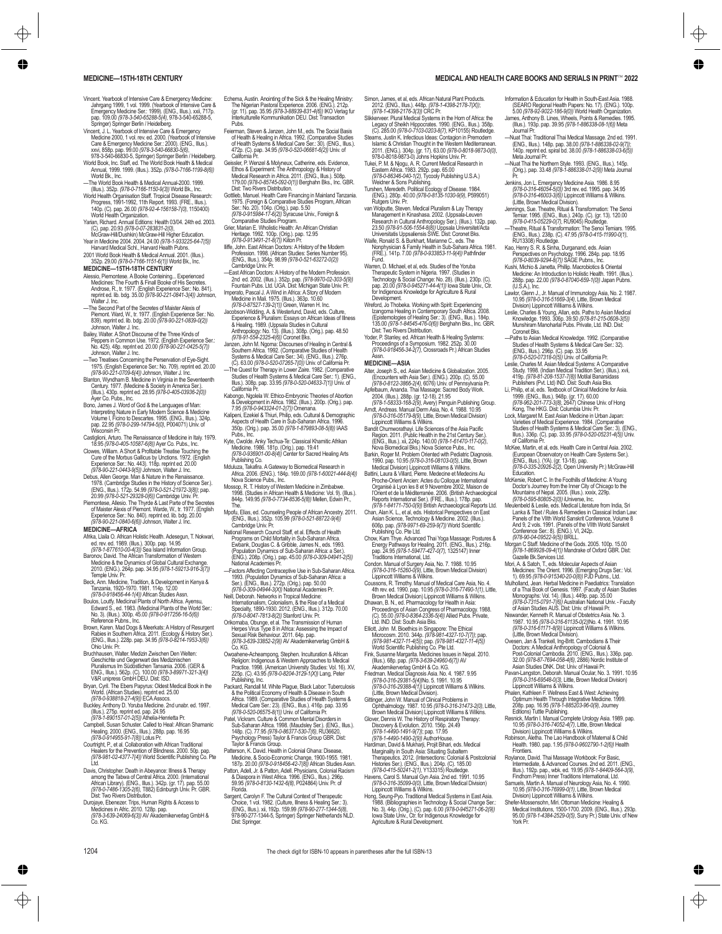- Vincent. Yearbook of Intensive Care & Emergency Medicine: Jahrgang 1999, 1 vol. 1999. (Yearbook of Intensive Care & Emergency Medicine Ser.: 1999). (ENG., Illus.). xxii, 717p. pap. 109.00 *(978-3-540-65288-5(4)*, 978-3-540-65288-5, Springer) Springer Berlin / Heidelberg.
- Vincent, J. L. Yearbook of Intensive Care & Emergency<br>
Medicine 2000, 1 vol. rev. ed. 2000. (Yearbook of Intensive<br>
Care & Emergency Medicine Ser: 2000, (ENCR, Illus.).<br>
San pape 95.00 (978-3-540-66830-5/6), (ENCR)<br>
978-3-
- 
- World Bk., Inc. —The World Book Health & Medical Annual-2000. 1999. (Illus.). 352p. *(978-0-7166-1150-9(3))* World Bk., Inc.
- World Health Organisation Staff. Tropical Disease Research: Progress, 1991-1992, 11th Report. 1993. (FRE., Illus.). 140p. (C). pap. 26.00 *(978-92-4-156158-7(0)*, 1150400) World Health Organization. Yarian, Richard. Annual Editions: Health 03/04. 24th ed. 2003.
- (C). pap. 20.93 *(978-0-07-283831-2(0)*, McGraw-Hill/Dushkin) McGraw-Hill Higher Education. Year in Medicine 2004. 2004. 24.00 *(978-1-933225-64-7(5))*
- 

# Harvard Medical Schl., Harvard Health Pubns. 2001 World Book Health & Medical Annual. 2001. (Illus.). 352p. 29.00 *(978-0-7166-1151-6(1))* World Bk., Inc. **MEDICINE—15TH-18TH CENTURY**

- Alessio, Piemontese. A Booke Conteining... Experienced<br>Medicines: The Fourth & Finall Booke of His Secretes.<br>Androse, R., tr. 1977. (English Experience Ser.: No. 841).<br>reprint ed. lib. bdg. 35.00 (978-90-221-0841-3(4)) Joh
- 
- Waller J. Inc. The Secretes of Maister Alexis of<br>The moond Part of the Secretes of Maister Alexis of<br>Piernont Ward, Vt., tr. 1977, English Experience Ser: No<br>S9), reprint ed. ilb. bdg. 20.00 (978-90-221-0839-0/2)<br>Johnson,
- —Two Treatises Concerning the Perservation of Eye-Sight. 1975. (English Experience Ser.: No. 709). reprint ed. 20.00 *(978-90-221-0709-6(4))* Johnson, Walter J. Inc.
- Blanton, Wyndham B. Medicine in Virginia in the Seventeenth Century. 1977. (Medicine & Society in America Ser.). (Illus.). 430p. reprint ed. 28.95 *(978-0-405-03936-2(0))* Ayer Co. Pubs., Inc.
- Bono, James J. Word of God & the Languages of Man: Interpreting Nature in Early Modern Science & Medicine Volume I, Ficino to Descartes. 1995. (ENG., Illus.). 324p. pap. 22.95 *(978-0-299-14794-5(0)*, P004071) Univ. of Wisconsin Pr.
- Castiglioni, Arturo. The Renaissance of Medicine in Italy. 1979. 18.95 *(978-0-405-10587-6(8))* Ayer Co. Pubs., Inc. Clowes, William. A Short & Profitable Treatise Touching the
- Cure of the Morbus Gallicus by Unctions. 1972. (English Experience Ser.: No. 443). 118p. reprint ed. 20.00 *(978-90-221-0443-9(5))* Johnson, Walter J. Inc.
- Debus, Allen George. Man & Nature in the Renaissance.<br>1978. (Cambridge Studies in the History of Science Ser.)<br>(ENG., Illus.). 172p. 54.99 (978-0-521-21972-3(8)); pap.<br>20.99 (978-0-521-29328-0(6)) Cambridge Univ. Pr.
- Piemontese, Allesio. The Thyrde & Last Parte of the Secretes of Maister Alexis of Piemont. Warde, W., tr. 1977. (English Experience Ser.: No. 840). reprint ed. lib. bdg. 20.00 *(978-90-221-0840-6(6))* Johnson, Walter J. Inc. **MEDICINE—AFRICA**

- Afrika, Llaila O. African Holistic Health. Adesegun, T. Nokwari,
- ed. rev. ed. 1989. (Illus.). 300p. pap. 14.95<br>*(978-1-877610-00-4(3))* Sea Island Information Group.<br>Baronov, David. The African Transformation of Western<br>Medicine & the Dynamics of Global Cultural Exchange. 2010. (ENG.). 264p. pap. 34.95 *(978-1-59213-916-3(7))* Temple Univ. Pr.
- Beck, Ann. Medicine, Tradition, & Development in Kenya &
- Tanzania, 1920-1970. 1981. 114p. 12.00 *(978-0-918456-44-1(4))* African Studies Assn. Boulos, Loutfy. Medicinal Plants of North Africa. Ayensu, Edward S., ed. 1983. (Medicinal Plants of the World Ser.: No. 3). (Illus.). 300p. 45.00 *(978-0-917256-16-5(6))* Reference Pubns., Inc.
- Brown, Karen. Mad Dogs & Meerkats: A History of Resurgent<br>Rabies in Southern Africa. 2011. (Ecology & History Ser.).<br>(ENG., Illus.). 228p. pap. 34.95 *(978-0-8214-1953-3(6))*<br>Ohio Univ. Pr.
- Bruchhausen, Walter. Medizin Zwischen Den Welten: Geschichte und Gegenwart des Medizinischen Pluralismus Im Südöstlichen Tansania. 2006. (GER & ENG., Illus.). 562p. (C). 100.00 *(978-3-89971-321-3(4))* V&R unipress GmbH DEU. Dist: ISD.
- Bryan, Cyril. The Ebers Papyrus: Oldest Medical Book in the World. (African Studies). reprint ed. 25.00 *(978-0-938818-27-4(9))* ECA Assocs.
- Buckley, Anthony D. Yoruba Medicine. 2nd unabr. ed. 1997.<br>(Illus.). 275p. reprint ed. pap. 24.95<br>(978-1-890157-01-2(5)) Athelia-Henrietta Pr.<br>Campbell, Susan Schuster. Called to Heal: African Shamanic
- Healing. 2000. (ENG., Illus.). 288p. pap. 16.95 *(978-0-914955-91-7(8))* Lotus Pr.
- Courtright, P., et al. Collaboration with African Traditional Healers for the Prevention of Blindness. 2000. 50p. pap. *(978-981-02-4377-7(4))* World Scientific Publishing Co. Pte
- Ltd.<br>Davis, Christopher. Death in Abeyance: Illness & Therapy<br>among the Tabwa of Central Africa. 2000. (International<br>African Library). (ENG., Illus.). 342p. (gr. 17). pap. 55.00<br>(978-0-7486-1306-2(6). T882). Edinburgh Uni
- Durojaye, Ebenezer. Trips, Human Rights & Access to Medicines in Afric. 2010. 128p. pap. *(978-3-639-24069-6(3))* AV Akademikerverlag GmbH & Co. KG.
- Echema, Austin. Anointing of the Sick & the Healing Ministry: The Nigerian Pastoral Experience. 2006. (ENG.). 212p. (gr. 11). pap. 35.95 *(978-3-88939-831-4(6))* IKO Verlag fur Interkulturelle Kommunikation DEU. Dist: Transaction Pubs.
- Feierman, Steven & Janzen, John M., eds. The Social Basis<br>of Health & Healing in Africa. 1992. (Comparative Studies<br>of Health Systems & Medical Care Ser: 30), (ENG., Illus.).<br>472p. (C), pap. 34.95 (978-0-520-06681-6(2)) Un
- Geissler, P. Wenzel & Molyneux, Catherine, eds. Evidence, Ethos & Experiment: The Anthropology & History of Medical Research in Africa. 2011. (ENG., Illus.). 508p.
- 179.00 (978-0-85745-082-01)<br>Dist Two Rivers Distribution.<br>Cottlieb, Manuel. Health Care Financing in Mainland Tanzania<br>Cottlieb, Manuel. Health Care Financing in Mainland Tanzania<br>Ser: No. 20). 104p. (Orig.), pap. 5.50<br>(*O*
- 
- *(978-0-913491-21-8(7))* Kiiton Pr.
- Iliffe, John. East African Doctors: A History of the Modern Profession. 1998. (African Studies: Series Number 95). (ENG., Illus.). 354p. 98.99 *(978-0-521-63272-0(2))* Cambridge Univ. Pr. —East African Doctors: A History of the Modern Profession.
- 2nd ed. 2002. (Illus.). 352p. pap. *(978-9970-02-303-5(9))* Fountain Pubs. Ltd. UGA. Dist: Michigan State Univ. Pr.
- 
- Imperator, Pascal J. A Wind in Africa: A Story of Modern<br>
(978-0-87527-139-2/1) Green, Warren H. Inc.<br>
(978-0-87527-139-2/1)) Green, Warren H. Inc.<br>
Jacobson-Widding, A. & Westerlund, David, eds. Culture,<br>
& Hoening, A. &
- Janzen, John M. Ngoma: Discourses of Healing in Central &
- Southern Africa. 1992. (Comparative Studies of Health<br>
Systems & Medical Care Ser: 34). (ENG., Illus.). 276p.<br>
(C), 63.00 (978-0-520-07265-7(0)) Univ. of California Pr.<br>
The Quest for Therapy in Lower Zaire. 1982. (Compara
- Kabongo, Ngolela W. Ethico-Embryonic Theories of Abortion & Development in Africa. 1982. (Illus.). 200p. (Orig.). pap. 7.95 *(978-0-943324-01-2(7))* Omenana.
- Kalipeni, Ezekiel & Thiuri, Philip, eds. Cultural & Demographic Aspects of Health Care in Sub-Saharan Africa. 1996. 350p. (Orig.). pap. 35.00 *(978-1-879893-08-5(8))* IAAS Pubs., Inc.
- Kyte, Cwolde. Anky Techua-Te: Classical Khamitic Afrikan Medicine. 1986. 181p. (Orig.). pap. 19.41 *(978-0-936901-00-8(4))* Center for Sacred Healing Arts
- 
- Publishing Co.<br>Molutza, Takafira. A Gateway to Biomedical Research in<br>Africa. 2006. (ENG.). 184p. 169.00 (978-1-60021-444-8(4)<br>Nova Science Pubs., Inc.<br>Mossop, R. T. History of Western Medicine in Zimbabwe.<br>Mossop, R. T. H
- 844p. 149.95 *(978-0-7734-8536-5(8))* Mellen, Edwin Pr.
- Mpofu, Elias, ed. Counseling People of African Ancestry. 2011. (ENG., Illus.). 352p. 105.99 *(978-0-521-88722-9(4))* Cambridge Univ. Pr. National Research Council Staff, et al. Effects of Health
- Programs on Child Mortality in Sub-Saharan Africa.<br>Ewbank, Douglas C. & Gribble, James N., eds. 1993.<br>(Population Dynamics of Sub-Saharan Africa: a Ser.).<br>(ENG.). 208p. (Orig.). pap. 45.00 (978-0-309-04941-2(5))<br>National A
- —Factors Affecting Contraceptive Use in Sub-Sahraran Africa<br>1993. (Population Dynamics of Sub-Saharan Africa: a<br>Ser.). (ENG., Illus.). 272p. (Orig.). pap. 50.00<br>(978-0-309-04944-3(X)) National Academies Pr.<br>Neill, Deborah.
- 
- Internationalism, Colonialism, & the Rise of a Medical Specialty, 1890-1930. 2012. (ENG., Illus.). 312p. 70.00 *(978-0-8047-7813-8(2))* Stanford Univ. Pr.
- Orikomaba, Obunge, et al. The Transmission of Human<br>Herpes Virus Type 8 in Africa: Assessing the Impact of<br>Sexual Risk Behaviour. 2011. 64p. pap.<br>*(978-3-639-33852-2(9))* AV Akademikerverlag GmbH &<br>Co. KG.
- Owoahene-Acheampong, Stephen. Inculturation & African<br>Religion: Indigenous & Western Approaches to Medical<br>Practice. 1998. (American University Studies: Vol. 16). XV,<br>225p. (C). 43.95 (978-0-8204-3129-1/X)) Lang, Peter Publishing, Inc.
- Packard, Randall M. White Plague, Black Labor: Tuberculosis & the Political Economy of Health & Disease in South Africa. 1989. (Comparative Studies of Health Systems & Medical Care Ser.: 23). (ENG., Illus.). 416p. pap. 33.95 *(978-0-520-06575-8(1))* Univ. of California Pr. Patel, Vickram. Culture & Common Mental Disorders in
- Sub-Saharan Africa. 1998. (Maudsley Ser.). (ENG., Illus.).<br>148p. (C). 77.95 (978-0-86377-530-7(6), RU36620,<br>Psychology Press) Taylor & Francis Group GBR. Dist:<br>Taylor & Francis Group.
- Patterson, K. David. Health in Colonial Ghana: Disease, Medicine, & Socio-Economic Change, 1900-1955. 1981. 187p. 20.00 *(978-0-918456-42-7(8))* African Studies Assn.
- Patton, Adell, Jr. & Patton, Adell. Physicians, Colonial Racism<br>& Diaspora in West Africa. 1996. (ENG., Illus.). 296p.<br>59.95 *(978-0-8130-1432-6(8)*, P024864) Univ. Pr. of<br>Florida.
- Sargent, Carolyn F. The Cultural Context of Therapeutic Choice, 1 vol. 1982. (Culture, Illness & Healing Ser.: 3). (ENG., Illus.). xii, 192p. 159.99 *(978-90-277-1344-5(8)*, 978-90-277-1344-5, Springer) Springer Netherlands NLD. Dist: Springer.

1204 The check digit for ISBN-10 appears in parentheses after the full ISBN-13

- Simon, James, et al, eds. African Natural Plant Products. 2012. (ENG., Illus.). 448p. *(978-1-4398-2178-7(X))*; *(978-1-4398-2176-3(3))* CRC Pr.
- Slikkerveer. Plural Medical Systems in the Horn of Africa: the Legacy of Sheikh Hippocrates. 1990. (ENG., Illus.). 358p.
- $(C)$ , 285.00 (978-7703-0203-8/7), KP10155) Rouledge.<br>Steams, Justin K. Infectious Ideas: Contagion in Premodern<br>Islamic & Christian Thought in the Western Mediterranean.<br>2011, (ENG), 304p (gr. 17), 8300 (978-0-8016-9873-0
- 
- *(978-0-86346-040-1(2)*, Tycooly Publishing U.S.A.) Weidner & Sons Publishing. Turshen, Meredeth. Political Ecology of Disease. 1984. (ENG.). 280p. 40.00 *(978-0-8135-1030-9(9)*, P599051) Rutgers Univ. Pr. van Wolputte, Steven. Medical Pluralism & Lay Therapy
- Management in Kinashasa. 2002. (Uppsala-Leuven<br>Research in Cultural Anthropology Ser.). (Illus.). 132p. pap.<br>23.50 *(978-91-506-1554-8(8))* Uppsala Universitet/Acta<br>Universitatis Uppsaliensis SWE. Dist: Coronet Bks.
- Waife, Ronald S. & Burkhart, Marianne C., eds. The<br>Nonphysician & Family Health in Sub-Sahara Africa. 1981<br>(FRE.). 141p. 7.00 *(978-0-933853-11-9(4))* Pathfinder<br>Fund.
- Warren, D. Michael, et al, eds. Studies of the Yoruba Therapeutic System in Nigeria. 1997. (Studies in<br>Technology & Social Change: No. 29). (Illus.). 230p. (C).<br>pap. 20.00 *(978-0-945271-44-4(1))* Iowa State Univ., Ctr.<br>for Indigenous Knowledge for Agriculture & Rural Development.
- Wreford, Jo Thobeka. Working with Spirit: Experiencing Izangoma Healing in Contemporary South Africa. 2008. (Epistemologies of Healing Ser.: 3). (ENG., Illus.). 184p. 135.00 *(978-1-84545-476-0(6))* Berghahn Bks., Inc. GBR. Dist: Two Rivers Distribution.
- Yoder, P. Stanley, ed. African Health & Healing Systems: Proceedings of a Symposium. 1982. 252p. 30.00 *(978-0-918456-34-2(7)*, Crossroads Pr.) African Studies

# Assn. **MEDICINE—ASIA**

- Alter, Joseph S., ed. Asian Medicine & Globalization. 2005. (Encounters with Asia Ser.). (ENG.). 200p. (C). 55.00 *(978-0-8122-3866-2(4)*, 6076) Univ. of Pennsylvania Pr. Apfelbaum, Ananda. Thai Massage: Sacred Body Work.
- 2004. (Illus.). 288p. (gr. 12-18). 21.95 *(978-1-58333-168-2(9)*, Avery) Penguin Publishing Group. Arndt, Andreas. Manual Derm Asia, No. 4. 1988. 10.95
- *(978-0-316-05179-8(9)*, Little, Brown Medical Division) Lippincott Williams & Wilkins. Bandit Chumworathayi. Life Sciences of the Asia Pacific
- Region. 2011. (Public Health in the 21st Century Ser.).<br>(ENG., Illus.). xii, 224p. 140.00 *(978-1-61470-117-0(2),*<br>Nova Biomedical Bks.) Nova Science Pubs., Inc.
- Barkin, Roger M. Problem Oriented with Pediatric Diagnosis. 1990. pap. 10.95 *(978-0-316-08103-0(5)*, Little, Brown Medical Division) Lippincott Williams & Wilkins.
- Battini, Laura & Villard, Pierre. Medecine et Medecins Au<br>Proche-Orient Ancien: Actes du Colloque International<br>Organisé à Lyon les 8 et 9 Novembre 2002, Maison de<br>l'Orient et de la Méditerranée. 2006. (British Archaeologi Reports International Ser.). (FRE., Illus.). 178p. pap. *(978-1-84171-750-0(9))* British Archaeological Reports Ltd. Chan, Alan K. L., et al, eds. Historical Perspectives on East
- Asian Science, Technology & Medicine. 2002. (Illus.).<br>606p. pap. *(978-9971-69-259-9(7))* World Scientific<br>Publishing Co. Pte Ltd.
- Chow, Kam Thye. Advanced Thai Yoga Massage: Postures & Energy Pathways for Healing. 2011. (ENG., Illus.). 216p. pap. 24.95 *(978-1-59477-427-0(7)*, 1325147) Inner Traditions International, Ltd.
- Condon. Manual of Surgery Asia, No. 7. 1988. 10.95 *(978-0-316-15260-0(9)*, Little, Brown Medical Division)
- Lippincott Williams & Wilkins.<br>Coussons, R. Timothy. Manual of Medical Care Asia, No. 4.<br>4th rev. ed. 1990. pap. 10.95 *(978-0-316-77490-1(1)*, Little.<br>Brown Medical Division) Lippincott Williams & Wilkins.
- Dhawan, B. N., ed. Pharmacology for Health in Asia: Proceedings of Asian Congress of Pharmacology. 1988. (C). 55.00 *(978-0-8364-2336-5(4))* Allied Pubs. Private,
- 
- Ltd. ND. Dist South Asia Biss.<br>
Elliott, John M. Bioethics in Singapore: The Ethical<br>
Microcosm. 2010. 3440. (*978-981-4327-10-7(7)*; pap.<br>
Microcosm. 2010. 3440. (*978-981-4327-11-4(5)*)<br>
(World Scientific Publishing Co.
- (378-0-010-2330 Popp), NO. 3. 1991. 10.30<br>(978-0-316-29388-4(1)) Lippincott Williams & Wilkins.<br>(Little, Brown Medical Division).
- Gittinger, John W. Manual of Clinical Problems in Ophthalmology. 1987. 10.95 *(978-0-316-31473-2(0)*, Little, Brown Medical Division) Lippincott Williams & Wilkins.
- Glover, Dennis W. The History of Respiratory Therapy<br>Discovery & Evolution. 2010. 156p. 24.49<br>*(978-1-4490-1491-9(7)*); pap. 17.95<br>*(978-1-4490-1490-2(9))* AuthorHouse.
- 
- Hardiman, David & Mukharji, Projit Bihari, eds. Medical<br>Marginality in South Asia: Situating Subaltern<br>Therapeutics. 2012. (Intersections: Colonial & Postcolonia<br>Histories Ser.). (ENG., Illus.). 204p. (C). 185.00
- *(978-0-415-50241-2(1)*, Y133315) Routledge. Havens, Carol S. Manual Gyn Asia. 2nd ed. 1991. 10.95 *(978-0-316-35099-0(0)*, Little, Brown Medical Division)
- Lippinott Williams & Wilkins<br>Hong, Seung-Pyo. Traditional Medical Systems in East Asia.<br>1988. (Bibliographies in Technology & Social Change Ser.<br>No. 3). 44p. (Orig.). (C). pap. 6.00 (978-0-945271-06-2(9))<br>lowa State Univ., Agriculture & Rural Development.
- **MEDICINE—15TH-18TH CENTURY MEDICAL AND HEALTH CARE BOOKS AND SERIALS IN PRINT- 2022**
	- Information & Education for Health in South-East Asia. 1988. (SEARO Regional Health Papers: No. 17). (ENG.). 100p. 5.00 *(978-92-9022-186-9(0))* World Health Organization.
	- James, Anthony B. Lines, Wheels, Points & Remedies. 1995.<br>(Illus.). 193p. pap. 39.95 *(978-1-886338-08-1(6))* Meta<br>Journal Pr.
	- —Nuat Thai: Traditional Thai Medical Massage. 2nd ed. 1991. (ENG., Illus.). 148p. pap. 38.00 *(978-1-886338-02-9(7))*; 140p. reprint ed. spiral bd. 38.00 *(978-1-886338-03-6(5))* Meta Journal Pr. —Nuat Thai the Northern Style. 1993. (ENG., Illus.). 145p.
	- (Orig.). pap. 33.48 *(978-1-886338-01-2(9)*) Meta Journal<br>Pr
	- Pr. Jenkins, Jon L. Emergency Medicine Asia. 1986. 8.95 *(978-0-316-46054-5(0))* 3rd rev. ed. 1995. pap. 34.95 *(978-0-316-46003-3(6))* Lippincott Williams & Wilkins. (Little, Brown Medical Division).
	- Jennings, Sue. Theatre, Ritual & Transformation: The Seno<br>Temiar. 1995. (ENG., Illus.). 240p. (C). (gr. 13). 120.00<br>*(978-0-415-05229-0(7)*, RU9045) Routledge. —Theatre, Ritual & Transformation: The Senoi Temiars. 1995.

(ENG., Illus.). 238p. (C). 47.95 *(978-0-415-11990-0(1)*, RU13308) Routledge. Kao, Henry S. R. & Sinha, Durganand, eds. Asian Perspectives on Psychology. 1996. 284p. pap. 18.95 *(978-0-8039-9294-8(7))* SAGE Pubns., Inc. Kushi, Michio & Janetta, Phillip. Macrobiotics & Oriental<br>Medicine: An Introduction to Holistic Health. 1991. (Illus.)<br>288p. pap. 22.00 *(978-0-87040-659-1(0)*) Japan Pubns.<br>(U.S.A.), Inc. Lawlor, Glenn J., Jr. Manual of Immunology Asia, No. 2. 1987. 10.95 *(978-0-316-51669-3(4)*, Little, Brown Medical Division) Lippincott Williams & Wilkins. Leslie, Charles & Young, Allan, eds. Paths to Asian Medical Knowledge. 1993. 306p. 39.50 *(978-81-215-0608-3(5))* Munshiram Manoharlal Pubs. Private, Ltd. IND. Dist:

Coronel Bis.<br>- Paths to Asian Medical Knowledge. 1992. (Comparative<br>Studies of Health Systems & Medical Care Ser.: 32).<br>(ENG., Illus.). 298p. (C), pap. 33.95<br>(978-0-526-07316-075) Univ. of California Pr.<br>Leslie, Charles M.

419p. *(978-81-208-1537-7(8))*Motilal Banarsidass Publishers (Pvt. Ltd) IND. Dist: South Asia Bks. Li, Philip, et al, eds. Textbook of Clinical Medicine for Asia. 1999. (ENG., Illus.). 948p. (gr. 17). 60.00 *(978-962-201-773-3(8)*, 2647) Chinese Univ. of Hong Kong, The HKG. Dist: Columbia Univ. Pr.

Lock, Margaret M. East Asian Medicine in Urban Japan:<br>Varieties of Medical Experience. 1984. (Comparative<br>Studies of Health Systems & Medical Care Ser.: 3). (ENG.<br>Ilus.). 336p. (C). pap. 33.95 (978-0-520-05231-4(5)) Univ.<br> McKee, Martin, et al, eds. Health Care in Central Asia. 2002. (European Observatory on Health Care Systems Ser.). (ENG., Illus.). (YA). (gr. 13-18). pap. *(978-0-335-20926-2(2)*, Open University Pr.) McGraw-Hill Education.<br>McKersie Robert C. In the Footbills of Medicine: A Young McKersie, Robert C. In the Foothills of Medicine: A Young<br>Docto's Journey from the Inner City of Chicago to the<br>Mountains of Nepal. 2005. (Illus.). xook, 229p.<br>(978-0-595-80805-2(0)) Universe, Inc.<br>Meulenbeld & Leslie, eds

Panels of the VIIth World Sanskrit Conference, Volume 8<br>And 9, 2 vols. 1991. (Panels of the VIIth World Sanskrit<br>Conference Ser.: 8). (ENG.). VI, 242p.<br>(978-90-04-09522-9(5)) BRILL. Morgan C Staff. Medicine of the Gods. 2005. 100p. 15.00<br>(978-1-869928-09-4(1)) Mandrake of Oxford GBR. Dist:<br>Gazelle Bk.Services Ltd. Mori, A. & Satoh, T., eds. Molecular Aspects of Asian Medicines: The Orient. 1996. (Emerging Drugs Ser.: Vol. 1). 69.95 *(978-0-915340-20-0(8))* PJD Pubns., Ltd. Mulholland, Jean. Herbal Medicine in Paediatrics: Translation of a Thai Book of Genesis. 1997. (Faculty of Asian Studies Monographs: Vol. 14). (Illus.). 449p. pap. 35.00 *(978-0-7315-0791-7(6))* Australian National Univ. - Faculty of Asian Studies AUS. Dist: Univ. of Hawaii Pr. Niswander, Kenneth R. Manual of Obstetrics Asia. No. 3.<br>1987. 10.95 *(978-0-316-61135-0[2)*)No. 4. 1991. 10.95<br>*(978-0-316-61171-8(9)* Lippincott Williams & Wilkins.<br>(Little, Brown Medical Division).

Ovesen, Jan & Trankell, Ing-Britt. Cambodians & Their<br>Doctors: A Medical Anthropology of Colonial &<br>Post-Colonial Cambodia. 2010. (ENG., Illus.). 336p. pap<br>32.00 (978-87-7694-089-4/6). 2886) Nordic Institute of<br>Asian Studi

Pavan-Langston, Deborah. Manual Ocular, No. 3. 1991. 10.95 *(978-0-316-69548-0(3)*, Little, Brown Medical Division) Lippincott Williams & Wilkins.

Phalen, Kathleen F. Welliness East & West: Achieving<br>208p. papirum Health Through Integrative Medicine. 1999.<br>208p. pap. 16.95 (978-1-885203-96-0/9), Journey<br>Editions) Tuttle Publishing.<br>Resmick, Martin I. Manual Complete

Roylance, David. Thai Massage Workbook: For Basic,<br>Intermediate, & Advanced Courses. 2nd ed. 2011. (ENG.<br>Illus.). 192p. pap., wbk. ed. 19.95 (978-1-84409-564-3(9),<br>Findhorn Press) Inner Traditions International, Ltd.<br>Samue 10.95 *(978-0-316-76999-0(1)*, Little, Brown Medical Division) Lippincott Williams & Wilkins. Shefer-Mossensohn, Miri. Ottoman Medicine: Healing & Medical Institutions, 1500-1700. 2009. (ENG., Illus.). 293p. 95.00 *(978-1-4384-2529-0(5)*, Suny Pr.) State Univ. of New

York Pr.